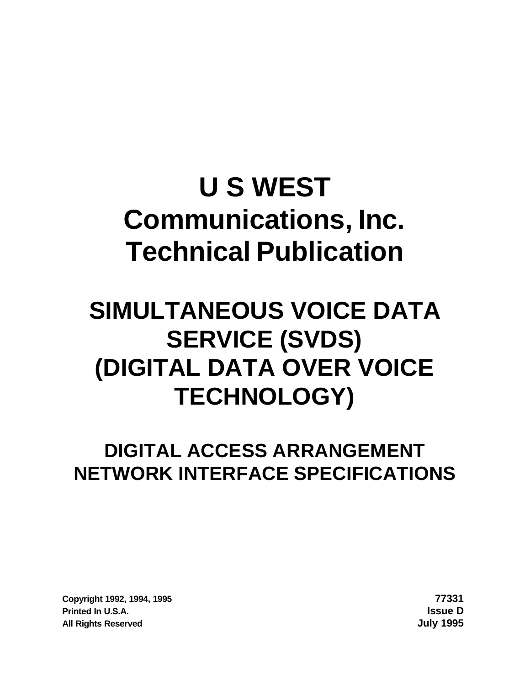# **U S WEST Communications, Inc. Technical Publication**

## **SIMULTANEOUS VOICE DATA SERVICE (SVDS) (DIGITAL DATA OVER VOICE TECHNOLOGY)**

## **DIGITAL ACCESS ARRANGEMENT NETWORK INTERFACE SPECIFICATIONS**

**Copyright 1992, 1994, 1995 77331 Printed In U.S.A. Issue D All Rights Reserved July 1995**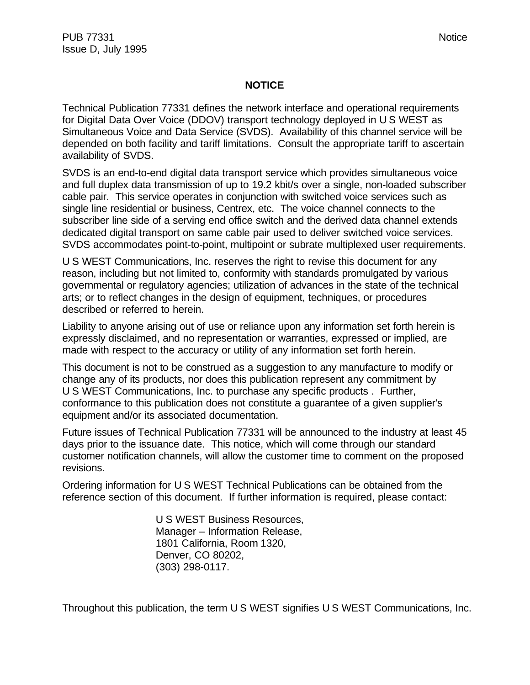#### **NOTICE**

Technical Publication 77331 defines the network interface and operational requirements for Digital Data Over Voice (DDOV) transport technology deployed in U S WEST as Simultaneous Voice and Data Service (SVDS). Availability of this channel service will be depended on both facility and tariff limitations. Consult the appropriate tariff to ascertain availability of SVDS.

SVDS is an end-to-end digital data transport service which provides simultaneous voice and full duplex data transmission of up to 19.2 kbit/s over a single, non-loaded subscriber cable pair. This service operates in conjunction with switched voice services such as single line residential or business, Centrex, etc. The voice channel connects to the subscriber line side of a serving end office switch and the derived data channel extends dedicated digital transport on same cable pair used to deliver switched voice services. SVDS accommodates point-to-point, multipoint or subrate multiplexed user requirements.

U S WEST Communications, Inc. reserves the right to revise this document for any reason, including but not limited to, conformity with standards promulgated by various governmental or regulatory agencies; utilization of advances in the state of the technical arts; or to reflect changes in the design of equipment, techniques, or procedures described or referred to herein.

Liability to anyone arising out of use or reliance upon any information set forth herein is expressly disclaimed, and no representation or warranties, expressed or implied, are made with respect to the accuracy or utility of any information set forth herein.

This document is not to be construed as a suggestion to any manufacture to modify or change any of its products, nor does this publication represent any commitment by U S WEST Communications, Inc. to purchase any specific products . Further, conformance to this publication does not constitute a guarantee of a given supplier's equipment and/or its associated documentation.

Future issues of Technical Publication 77331 will be announced to the industry at least 45 days prior to the issuance date. This notice, which will come through our standard customer notification channels, will allow the customer time to comment on the proposed revisions.

Ordering information for U S WEST Technical Publications can be obtained from the reference section of this document. If further information is required, please contact:

> U S WEST Business Resources, Manager – Information Release, 1801 California, Room 1320, Denver, CO 80202, (303) 298-0117.

Throughout this publication, the term U S WEST signifies U S WEST Communications, Inc.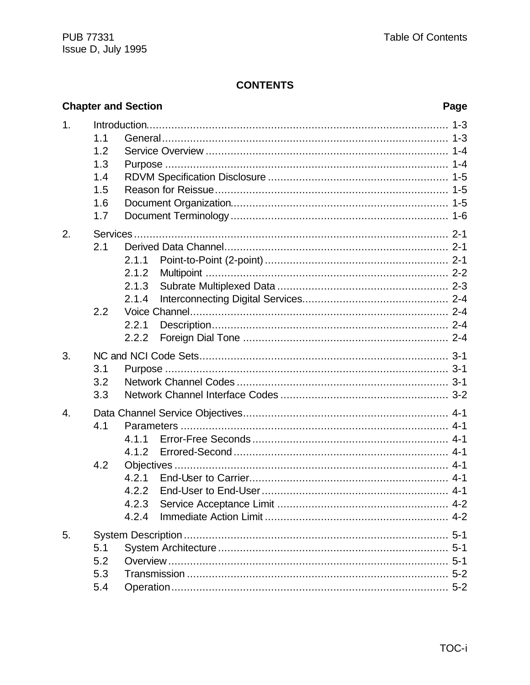## **CONTENTS**

|    |                                               | <b>Chapter and Section</b>                         | Page |
|----|-----------------------------------------------|----------------------------------------------------|------|
| 1. | 1.1<br>1.2<br>1.3<br>1.4<br>1.5<br>1.6<br>1.7 |                                                    |      |
| 2. | 2.1<br>2.2                                    | 2.1.1<br>2.1.2<br>2.1.3<br>2.1.4<br>2.2.1<br>2.2.2 |      |
| 3. | 3.1<br>3.2<br>3.3                             |                                                    |      |
| 4. | 4.1<br>4.2                                    | 4.1.1<br>4.2.2<br>4.2.3<br>4.2.4                   |      |
| 5. | 5.1<br>5.2<br>5.3<br>5.4                      |                                                    |      |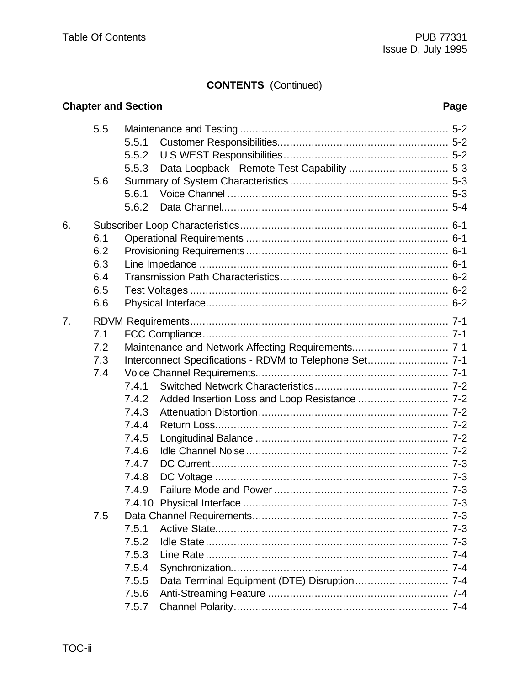## **CONTENTS** (Continued)

|    |     | <b>Chapter and Section</b> |                                                         | Page |
|----|-----|----------------------------|---------------------------------------------------------|------|
|    | 5.5 | 5.5.1<br>5.5.2<br>5.5.3    |                                                         |      |
|    | 5.6 | 5.6.1<br>5.6.2             |                                                         |      |
| 6. |     |                            |                                                         |      |
|    | 6.1 |                            |                                                         |      |
|    | 6.2 |                            |                                                         |      |
|    | 6.3 |                            |                                                         |      |
|    | 6.4 |                            |                                                         |      |
|    | 6.5 |                            |                                                         |      |
|    | 6.6 |                            |                                                         |      |
| 7. |     |                            |                                                         |      |
|    | 7.1 |                            |                                                         |      |
|    | 7.2 |                            | Maintenance and Network Affecting Requirements 7-1      |      |
|    | 7.3 |                            | Interconnect Specifications - RDVM to Telephone Set 7-1 |      |
|    | 7.4 |                            |                                                         |      |
|    |     | 7.4.1                      |                                                         |      |
|    |     | 7.4.2                      |                                                         |      |
|    |     | 7.4.3                      |                                                         |      |
|    |     | 7.4.4                      |                                                         |      |
|    |     | 7.4.5                      |                                                         |      |
|    |     | 7.4.6                      |                                                         |      |
|    |     | 7.4.7                      |                                                         |      |
|    |     | 7.4.8                      |                                                         |      |
|    |     | 7.4.9                      |                                                         |      |
|    |     |                            |                                                         |      |
|    | 7.5 |                            |                                                         |      |
|    |     | 7.5.1                      |                                                         |      |
|    |     | 7.5.2                      |                                                         |      |
|    |     | 7.5.3                      |                                                         |      |
|    |     | 7.5.4<br>7.5.5             |                                                         |      |
|    |     | 7.5.6                      |                                                         |      |
|    |     | 7.5.7                      |                                                         |      |
|    |     |                            |                                                         |      |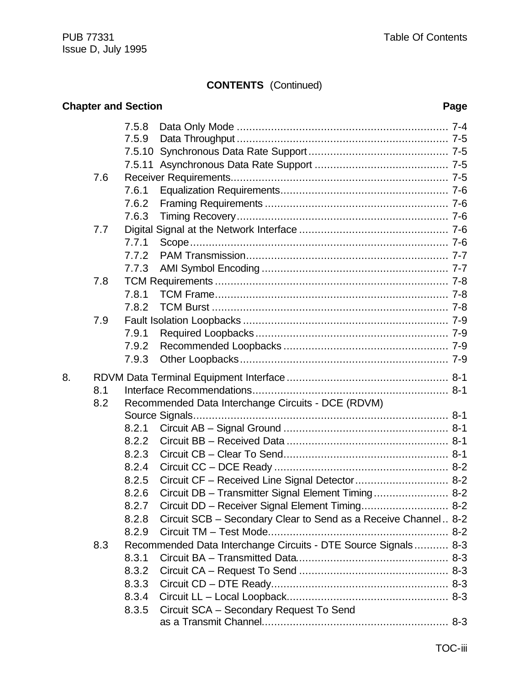## **CONTENTS** (Continued)

|    |     | <b>Chapter and Section</b> |                                                                | Page |
|----|-----|----------------------------|----------------------------------------------------------------|------|
|    |     | 7.5.8                      |                                                                |      |
|    |     | 7.5.9                      |                                                                |      |
|    |     |                            |                                                                |      |
|    |     |                            |                                                                |      |
|    | 7.6 |                            |                                                                |      |
|    |     | 7.6.1                      |                                                                |      |
|    |     | 7.6.2                      |                                                                |      |
|    |     | 7.6.3                      |                                                                |      |
|    | 7.7 |                            |                                                                |      |
|    |     | 7.7.1                      |                                                                |      |
|    |     | 7.7.2                      |                                                                |      |
|    |     | 7.7.3                      |                                                                |      |
|    | 7.8 |                            |                                                                |      |
|    |     | 7.8.1                      |                                                                |      |
|    |     | 7.8.2                      |                                                                |      |
|    | 7.9 |                            |                                                                |      |
|    |     | 7.9.1                      |                                                                |      |
|    |     | 7.9.2                      |                                                                |      |
|    |     | 7.9.3                      |                                                                |      |
| 8. |     |                            |                                                                |      |
|    | 8.1 |                            |                                                                |      |
|    | 8.2 |                            | Recommended Data Interchange Circuits - DCE (RDVM)             |      |
|    |     |                            |                                                                |      |
|    |     | 8.2.1                      |                                                                |      |
|    |     | 8.2.2                      |                                                                |      |
|    |     | 8.2.3                      |                                                                |      |
|    |     | 8.2.4                      |                                                                |      |
|    |     | 8.2.5                      | Circuit CF - Received Line Signal Detector 8-2                 |      |
|    |     | 8.2.6                      | Circuit DB - Transmitter Signal Element Timing 8-2             |      |
|    |     | 8.2.7                      | Circuit DD - Receiver Signal Element Timing 8-2                |      |
|    |     | 8.2.8                      | Circuit SCB – Secondary Clear to Send as a Receive Channel 8-2 |      |
|    |     | 8.2.9                      |                                                                |      |
|    | 8.3 |                            | Recommended Data Interchange Circuits - DTE Source Signals 8-3 |      |
|    |     | 8.3.1                      |                                                                |      |
|    |     | 8.3.2                      |                                                                |      |
|    |     | 8.3.3                      |                                                                |      |
|    |     | 8.3.4                      |                                                                |      |
|    |     | 8.3.5                      | Circuit SCA - Secondary Request To Send                        |      |
|    |     |                            |                                                                |      |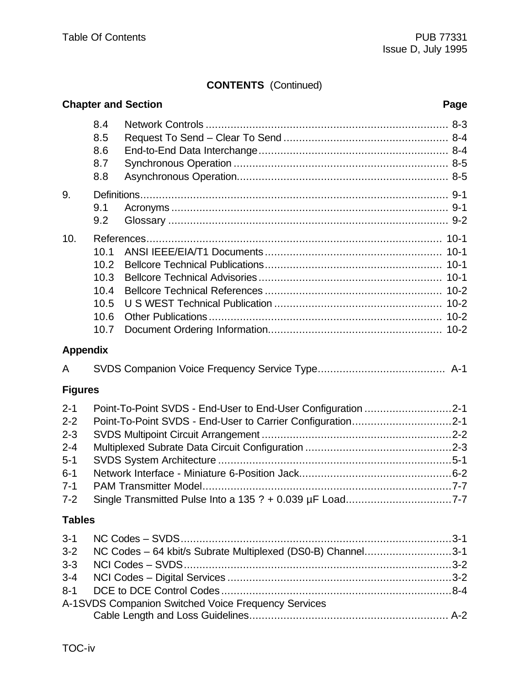## **CONTENTS** (Continued)

|                                                                                      |                                                      | <b>Chapter and Section</b><br>Page                                                                                                                                                     |  |
|--------------------------------------------------------------------------------------|------------------------------------------------------|----------------------------------------------------------------------------------------------------------------------------------------------------------------------------------------|--|
|                                                                                      | 8.4<br>8.5<br>8.6<br>8.7<br>8.8                      |                                                                                                                                                                                        |  |
| 9.                                                                                   | 9.1<br>9.2                                           |                                                                                                                                                                                        |  |
| 10.                                                                                  | 10.1<br>10.2<br>10.3<br>10.4<br>10.5<br>10.6<br>10.7 |                                                                                                                                                                                        |  |
| <b>Appendix</b>                                                                      |                                                      |                                                                                                                                                                                        |  |
| A                                                                                    |                                                      |                                                                                                                                                                                        |  |
| <b>Figures</b>                                                                       |                                                      |                                                                                                                                                                                        |  |
| $2 - 1$<br>$2 - 2$<br>$2 - 3$<br>$2 - 4$<br>$5 - 1$<br>$6 - 1$<br>$7 - 1$<br>$7 - 2$ |                                                      | Point-To-Point SVDS - End-User to End-User Configuration 2-1<br>Point-To-Point SVDS - End-User to Carrier Configuration2-1<br>Single Transmitted Pulse Into a 135 ? + 0.039 µF Load7-7 |  |
| <b>Tables</b>                                                                        |                                                      |                                                                                                                                                                                        |  |
| $3 - 1$<br>$3 - 2$<br>$3 - 3$<br>$3 - 4$<br>$8 - 1$                                  |                                                      | NC Codes - 64 kbit/s Subrate Multiplexed (DS0-B) Channel3-1<br>A-1SVDS Companion Switched Voice Frequency Services                                                                     |  |
|                                                                                      |                                                      |                                                                                                                                                                                        |  |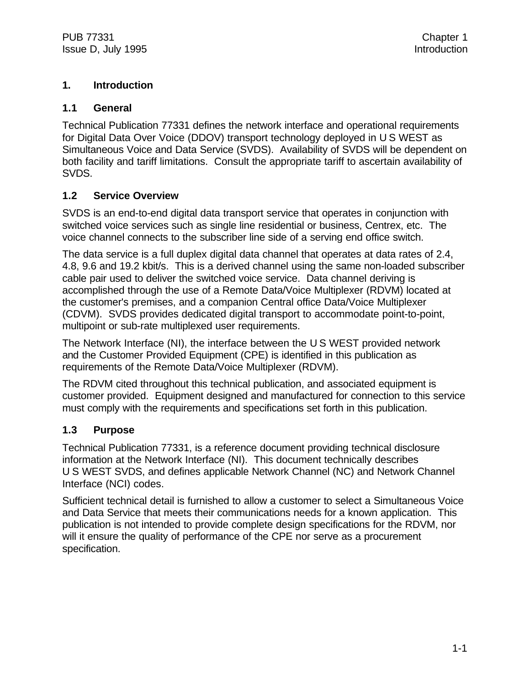## **1. Introduction**

#### **1.1 General**

Technical Publication 77331 defines the network interface and operational requirements for Digital Data Over Voice (DDOV) transport technology deployed in U S WEST as Simultaneous Voice and Data Service (SVDS). Availability of SVDS will be dependent on both facility and tariff limitations. Consult the appropriate tariff to ascertain availability of SVDS.

## **1.2 Service Overview**

SVDS is an end-to-end digital data transport service that operates in conjunction with switched voice services such as single line residential or business, Centrex, etc. The voice channel connects to the subscriber line side of a serving end office switch.

The data service is a full duplex digital data channel that operates at data rates of 2.4, 4.8, 9.6 and 19.2 kbit/s. This is a derived channel using the same non-loaded subscriber cable pair used to deliver the switched voice service. Data channel deriving is accomplished through the use of a Remote Data/Voice Multiplexer (RDVM) located at the customer's premises, and a companion Central office Data/Voice Multiplexer (CDVM). SVDS provides dedicated digital transport to accommodate point-to-point, multipoint or sub-rate multiplexed user requirements.

The Network Interface (NI), the interface between the U S WEST provided network and the Customer Provided Equipment (CPE) is identified in this publication as requirements of the Remote Data/Voice Multiplexer (RDVM).

The RDVM cited throughout this technical publication, and associated equipment is customer provided. Equipment designed and manufactured for connection to this service must comply with the requirements and specifications set forth in this publication.

## **1.3 Purpose**

Technical Publication 77331, is a reference document providing technical disclosure information at the Network Interface (NI). This document technically describes U S WEST SVDS, and defines applicable Network Channel (NC) and Network Channel Interface (NCI) codes.

Sufficient technical detail is furnished to allow a customer to select a Simultaneous Voice and Data Service that meets their communications needs for a known application. This publication is not intended to provide complete design specifications for the RDVM, nor will it ensure the quality of performance of the CPE nor serve as a procurement specification.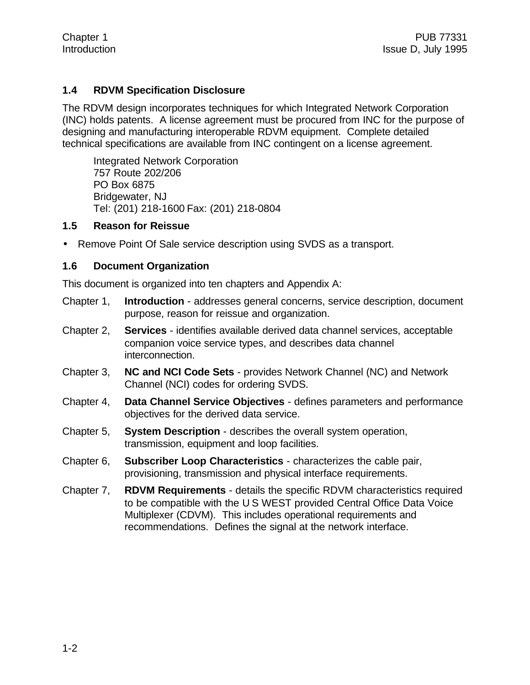## **1.4 RDVM Specification Disclosure**

The RDVM design incorporates techniques for which Integrated Network Corporation (INC) holds patents. A license agreement must be procured from INC for the purpose of designing and manufacturing interoperable RDVM equipment. Complete detailed technical specifications are available from INC contingent on a license agreement.

Integrated Network Corporation 757 Route 202/206 PO Box 6875 Bridgewater, NJ Tel: (201) 218-1600 Fax: (201) 218-0804

#### **1.5 Reason for Reissue**

• Remove Point Of Sale service description using SVDS as a transport.

#### **1.6 Document Organization**

This document is organized into ten chapters and Appendix A:

- Chapter 1, **Introduction** addresses general concerns, service description, document purpose, reason for reissue and organization.
- Chapter 2, **Services** identifies available derived data channel services, acceptable companion voice service types, and describes data channel interconnection.
- Chapter 3, **NC and NCI Code Sets** provides Network Channel (NC) and Network Channel (NCI) codes for ordering SVDS.
- Chapter 4, **Data Channel Service Objectives** defines parameters and performance objectives for the derived data service.
- Chapter 5, **System Description** describes the overall system operation, transmission, equipment and loop facilities.
- Chapter 6, **Subscriber Loop Characteristics** characterizes the cable pair, provisioning, transmission and physical interface requirements.
- Chapter 7, **RDVM Requirements** details the specific RDVM characteristics required to be compatible with the U S WEST provided Central Office Data Voice Multiplexer (CDVM). This includes operational requirements and recommendations. Defines the signal at the network interface.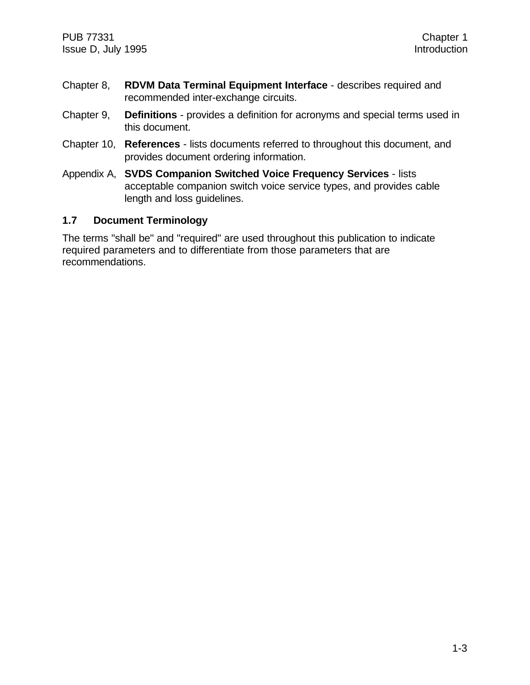- Chapter 8, **RDVM Data Terminal Equipment Interface** describes required and recommended inter-exchange circuits.
- Chapter 9, **Definitions** provides a definition for acronyms and special terms used in this document.
- Chapter 10, **References** lists documents referred to throughout this document, and provides document ordering information.
- Appendix A, **SVDS Companion Switched Voice Frequency Services** lists acceptable companion switch voice service types, and provides cable length and loss guidelines.

#### **1.7 Document Terminology**

The terms "shall be" and "required" are used throughout this publication to indicate required parameters and to differentiate from those parameters that are recommendations.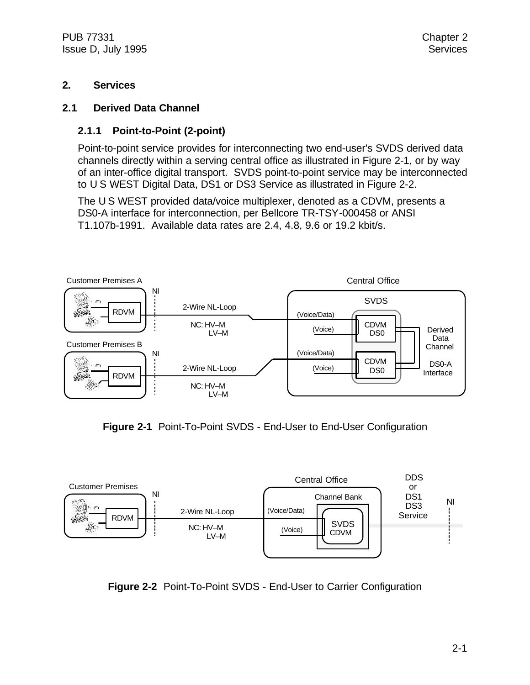PUB 77331 Chapter 2 Issue D, July 1995 Services

#### **2. Services**

#### **2.1 Derived Data Channel**

#### **2.1.1 Point-to-Point (2-point)**

Point-to-point service provides for interconnecting two end-user's SVDS derived data channels directly within a serving central office as illustrated in Figure 2-1, or by way of an inter-office digital transport. SVDS point-to-point service may be interconnected to U S WEST Digital Data, DS1 or DS3 Service as illustrated in Figure 2-2.

The U S WEST provided data/voice multiplexer, denoted as a CDVM, presents a DS0-A interface for interconnection, per Bellcore TR-TSY-000458 or ANSI T1.107b-1991. Available data rates are 2.4, 4.8, 9.6 or 19.2 kbit/s.



**Figure 2-1** Point-To-Point SVDS - End-User to End-User Configuration



**Figure 2-2** Point-To-Point SVDS - End-User to Carrier Configuration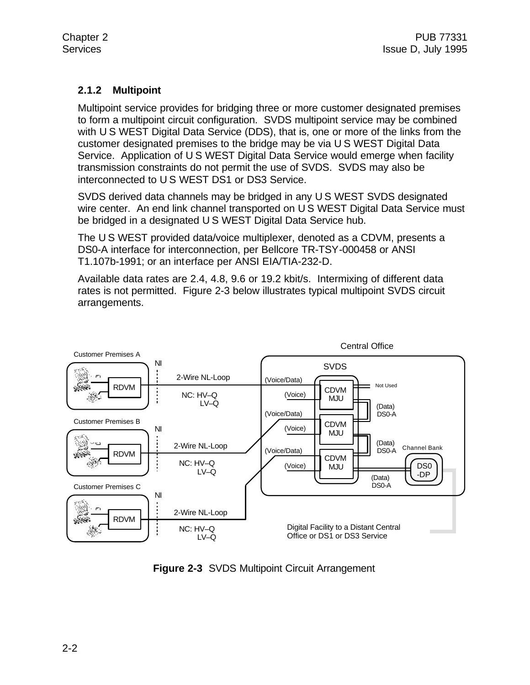## **2.1.2 Multipoint**

Multipoint service provides for bridging three or more customer designated premises to form a multipoint circuit configuration. SVDS multipoint service may be combined with U S WEST Digital Data Service (DDS), that is, one or more of the links from the customer designated premises to the bridge may be via U S WEST Digital Data Service. Application of U S WEST Digital Data Service would emerge when facility transmission constraints do not permit the use of SVDS. SVDS may also be interconnected to U S WEST DS1 or DS3 Service.

SVDS derived data channels may be bridged in any U S WEST SVDS designated wire center. An end link channel transported on U S WEST Digital Data Service must be bridged in a designated U S WEST Digital Data Service hub.

The U S WEST provided data/voice multiplexer, denoted as a CDVM, presents a DS0-A interface for interconnection, per Bellcore TR-TSY-000458 or ANSI T1.107b-1991; or an interface per ANSI EIA/TIA-232-D.

Available data rates are 2.4, 4.8, 9.6 or 19.2 kbit/s. Intermixing of different data rates is not permitted. Figure 2-3 below illustrates typical multipoint SVDS circuit arrangements.



**Figure 2-3** SVDS Multipoint Circuit Arrangement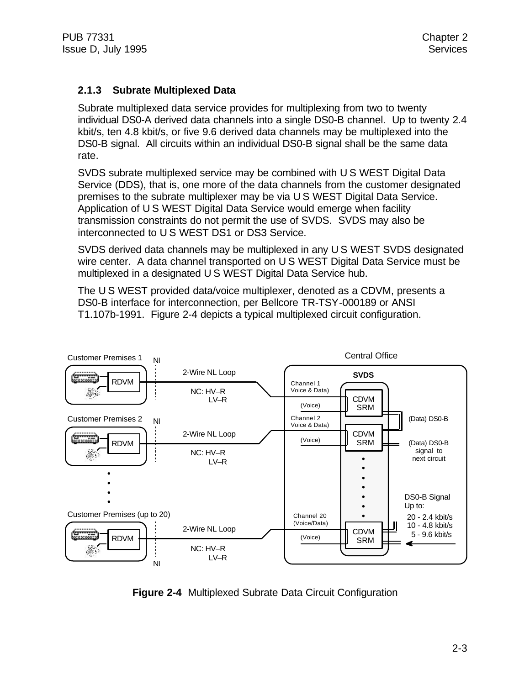## **2.1.3 Subrate Multiplexed Data**

Subrate multiplexed data service provides for multiplexing from two to twenty individual DS0-A derived data channels into a single DS0-B channel. Up to twenty 2.4 kbit/s, ten 4.8 kbit/s, or five 9.6 derived data channels may be multiplexed into the DS0-B signal. All circuits within an individual DS0-B signal shall be the same data rate.

SVDS subrate multiplexed service may be combined with U S WEST Digital Data Service (DDS), that is, one more of the data channels from the customer designated premises to the subrate multiplexer may be via U S WEST Digital Data Service. Application of U S WEST Digital Data Service would emerge when facility transmission constraints do not permit the use of SVDS. SVDS may also be interconnected to U S WEST DS1 or DS3 Service.

SVDS derived data channels may be multiplexed in any U S WEST SVDS designated wire center. A data channel transported on U S WEST Digital Data Service must be multiplexed in a designated U S WEST Digital Data Service hub.

The U S WEST provided data/voice multiplexer, denoted as a CDVM, presents a DS0-B interface for interconnection, per Bellcore TR-TSY-000189 or ANSI T1.107b-1991. Figure 2-4 depicts a typical multiplexed circuit configuration.



**Figure 2-4** Multiplexed Subrate Data Circuit Configuration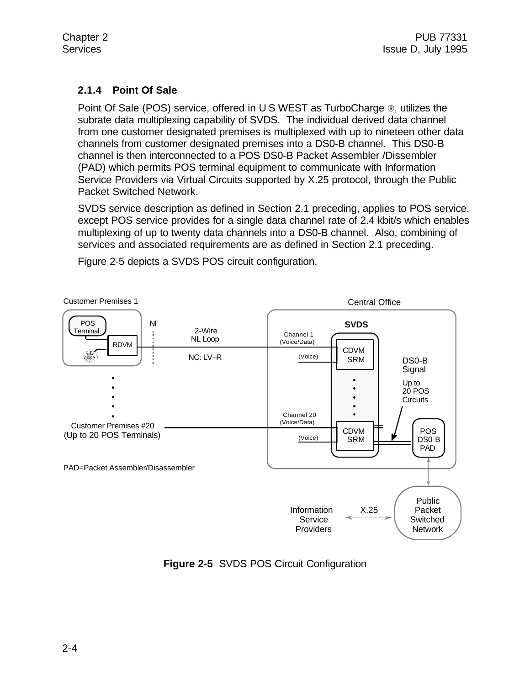## **2.1.4 Point Of Sale**

Point Of Sale (POS) service, offered in U S WEST as TurboCharge ®, utilizes the subrate data multiplexing capability of SVDS. The individual derived data channel from one customer designated premises is multiplexed with up to nineteen other data channels from customer designated premises into a DS0-B channel. This DS0-B channel is then interconnected to a POS DS0-B Packet Assembler /Dissembler (PAD) which permits POS terminal equipment to communicate with Information Service Providers via Virtual Circuits supported by X.25 protocol, through the Public Packet Switched Network.

SVDS service description as defined in Section 2.1 preceding, applies to POS service, except POS service provides for a single data channel rate of 2.4 kbit/s which enables multiplexing of up to twenty data channels into a DS0-B channel. Also, combining of services and associated requirements are as defined in Section 2.1 preceding.



Figure 2-5 depicts a SVDS POS circuit configuration.

**Figure 2-5** SVDS POS Circuit Configuration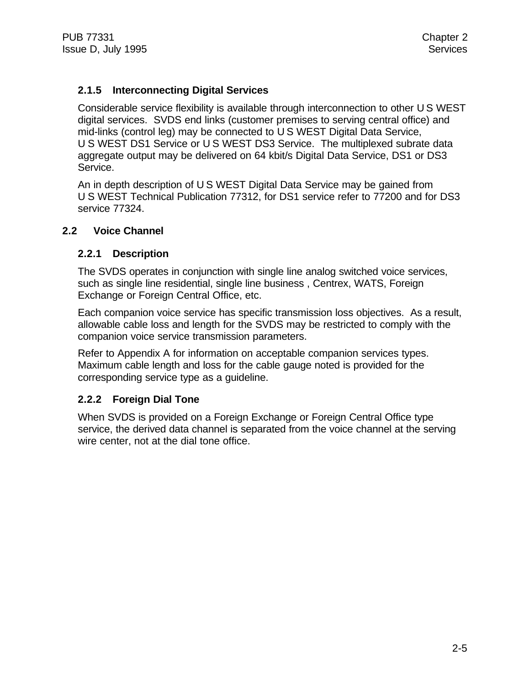## **2.1.5 Interconnecting Digital Services**

Considerable service flexibility is available through interconnection to other U S WEST digital services. SVDS end links (customer premises to serving central office) and mid-links (control leg) may be connected to U S WEST Digital Data Service, U S WEST DS1 Service or U S WEST DS3 Service. The multiplexed subrate data aggregate output may be delivered on 64 kbit/s Digital Data Service, DS1 or DS3 Service.

An in depth description of U S WEST Digital Data Service may be gained from U S WEST Technical Publication 77312, for DS1 service refer to 77200 and for DS3 service 77324.

## **2.2 Voice Channel**

## **2.2.1 Description**

The SVDS operates in conjunction with single line analog switched voice services, such as single line residential, single line business , Centrex, WATS, Foreign Exchange or Foreign Central Office, etc.

Each companion voice service has specific transmission loss objectives. As a result, allowable cable loss and length for the SVDS may be restricted to comply with the companion voice service transmission parameters.

Refer to Appendix A for information on acceptable companion services types. Maximum cable length and loss for the cable gauge noted is provided for the corresponding service type as a guideline.

## **2.2.2 Foreign Dial Tone**

When SVDS is provided on a Foreign Exchange or Foreign Central Office type service, the derived data channel is separated from the voice channel at the serving wire center, not at the dial tone office.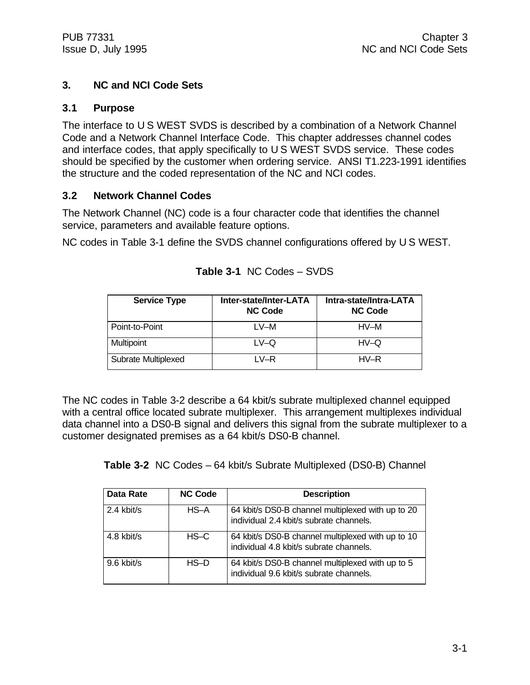## **3. NC and NCI Code Sets**

## **3.1 Purpose**

The interface to U S WEST SVDS is described by a combination of a Network Channel Code and a Network Channel Interface Code. This chapter addresses channel codes and interface codes, that apply specifically to U S WEST SVDS service. These codes should be specified by the customer when ordering service. ANSI T1.223-1991 identifies the structure and the coded representation of the NC and NCI codes.

## **3.2 Network Channel Codes**

The Network Channel (NC) code is a four character code that identifies the channel service, parameters and available feature options.

NC codes in Table 3-1 define the SVDS channel configurations offered by U S WEST.

| <b>Service Type</b> | Inter-state/Inter-LATA<br><b>NC Code</b> | Intra-state/Intra-LATA<br><b>NC Code</b> |
|---------------------|------------------------------------------|------------------------------------------|
| Point-to-Point      | $L$ V-M                                  | HV-M                                     |
| <b>Multipoint</b>   | $LV$ -Q                                  | $HV$ -Q                                  |
| Subrate Multiplexed | I V-R                                    | $HV-R$                                   |

| Table 3-1 NC Codes - SVDS |  |
|---------------------------|--|
|                           |  |

The NC codes in Table 3-2 describe a 64 kbit/s subrate multiplexed channel equipped with a central office located subrate multiplexer. This arrangement multiplexes individual data channel into a DS0-B signal and delivers this signal from the subrate multiplexer to a customer designated premises as a 64 kbit/s DS0-B channel.

**Table 3-2** NC Codes – 64 kbit/s Subrate Multiplexed (DS0-B) Channel

| <b>Data Rate</b> | <b>NC Code</b> | <b>Description</b>                                                                           |
|------------------|----------------|----------------------------------------------------------------------------------------------|
| 2.4 kbit/s       | $HS-A$         | 64 kbit/s DS0-B channel multiplexed with up to 20<br>individual 2.4 kbit/s subrate channels. |
| 4.8 kbit/s       | $HS-C$         | 64 kbit/s DS0-B channel multiplexed with up to 10<br>individual 4.8 kbit/s subrate channels. |
| 9.6 kbit/s       | $HS-D$         | 64 kbit/s DS0-B channel multiplexed with up to 5<br>individual 9.6 kbit/s subrate channels.  |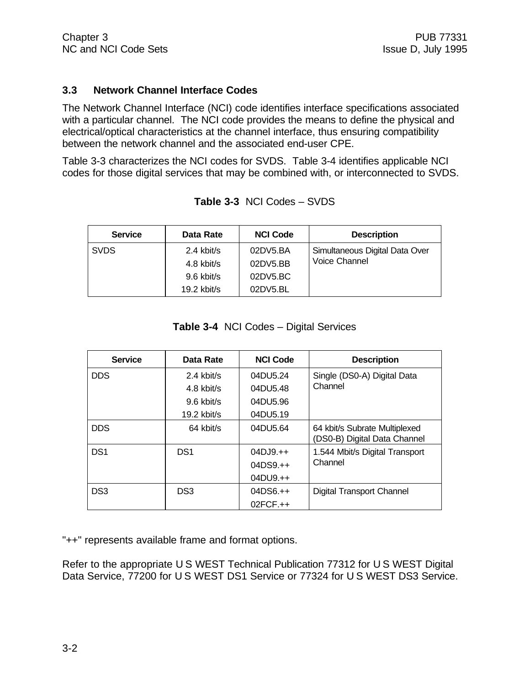#### **3.3 Network Channel Interface Codes**

The Network Channel Interface (NCI) code identifies interface specifications associated with a particular channel. The NCI code provides the means to define the physical and electrical/optical characteristics at the channel interface, thus ensuring compatibility between the network channel and the associated end-user CPE.

Table 3-3 characterizes the NCI codes for SVDS. Table 3-4 identifies applicable NCI codes for those digital services that may be combined with, or interconnected to SVDS.

| <b>Service</b> | Data Rate     | <b>NCI Code</b> | <b>Description</b>             |
|----------------|---------------|-----------------|--------------------------------|
| <b>SVDS</b>    | 2.4 kbit/s    | 02DV5.BA        | Simultaneous Digital Data Over |
|                | 4.8 kbit/s    | 02DV5.BB        | <b>Voice Channel</b>           |
|                | 9.6 kbit/s    | 02DY5.BC        |                                |
|                | $19.2$ kbit/s | 02DV5.BL        |                                |

**Table 3-3** NCI Codes – SVDS

**Table 3-4** NCI Codes – Digital Services

| <b>Service</b>  | Data Rate       | <b>NCI Code</b> | <b>Description</b>                                            |
|-----------------|-----------------|-----------------|---------------------------------------------------------------|
| <b>DDS</b>      | $2.4$ kbit/s    | 04DU5.24        | Single (DS0-A) Digital Data                                   |
|                 | 4.8 kbit/s      | 04DU5.48        | Channel                                                       |
|                 | $9.6$ kbit/s    | 04DU5.96        |                                                               |
|                 | $19.2$ kbit/s   | 04DU5.19        |                                                               |
| <b>DDS</b>      | 64 kbit/s       | 04DU5.64        | 64 kbit/s Subrate Multiplexed<br>(DS0-B) Digital Data Channel |
| DS <sub>1</sub> | DS <sub>1</sub> | $04DJ9.+$       | 1.544 Mbit/s Digital Transport                                |
|                 |                 | $04DS9.++$      | Channel                                                       |
|                 |                 | $04DU9.+$       |                                                               |
| DS <sub>3</sub> | DS <sub>3</sub> | $04D$ S6.++     | Digital Transport Channel                                     |
|                 |                 | $02FCF.++$      |                                                               |

"++" represents available frame and format options.

Refer to the appropriate U S WEST Technical Publication 77312 for U S WEST Digital Data Service, 77200 for U S WEST DS1 Service or 77324 for U S WEST DS3 Service.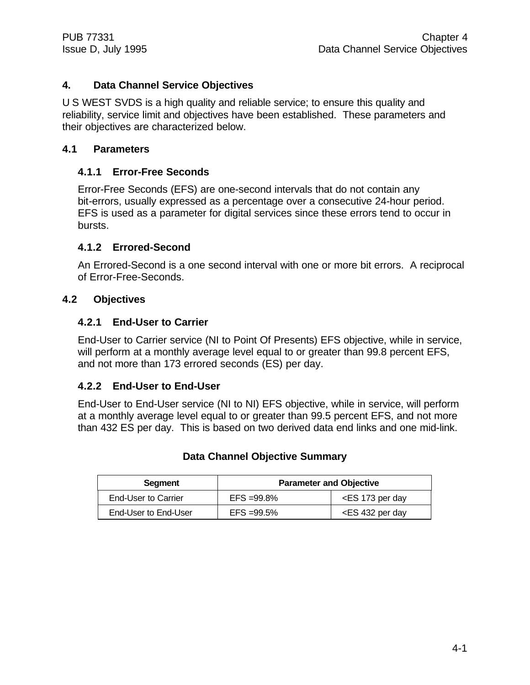## **4. Data Channel Service Objectives**

U S WEST SVDS is a high quality and reliable service; to ensure this quality and reliability, service limit and objectives have been established. These parameters and their objectives are characterized below.

## **4.1 Parameters**

## **4.1.1 Error-Free Seconds**

Error-Free Seconds (EFS) are one-second intervals that do not contain any bit-errors, usually expressed as a percentage over a consecutive 24-hour period. EFS is used as a parameter for digital services since these errors tend to occur in bursts.

## **4.1.2 Errored-Second**

An Errored-Second is a one second interval with one or more bit errors. A reciprocal of Error-Free-Seconds.

## **4.2 Objectives**

#### **4.2.1 End-User to Carrier**

End-User to Carrier service (NI to Point Of Presents) EFS objective, while in service, will perform at a monthly average level equal to or greater than 99.8 percent EFS, and not more than 173 errored seconds (ES) per day.

#### **4.2.2 End-User to End-User**

End-User to End-User service (NI to NI) EFS objective, while in service, will perform at a monthly average level equal to or greater than 99.5 percent EFS, and not more than 432 ES per day. This is based on two derived data end links and one mid-link.

| <b>Segment</b>       | <b>Parameter and Objective</b> |                                       |
|----------------------|--------------------------------|---------------------------------------|
| End-User to Carrier  | $EFS = 99.8\%$                 | <es 173="" day<="" per="" td=""></es> |
| End-User to End-User | $EFS = 99.5\%$                 | $\epsilon$ ES 432 per day             |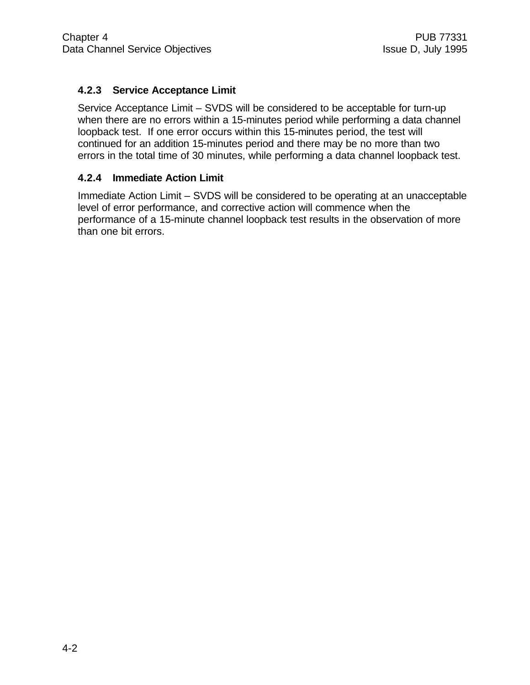## **4.2.3 Service Acceptance Limit**

Service Acceptance Limit – SVDS will be considered to be acceptable for turn-up when there are no errors within a 15-minutes period while performing a data channel loopback test. If one error occurs within this 15-minutes period, the test will continued for an addition 15-minutes period and there may be no more than two errors in the total time of 30 minutes, while performing a data channel loopback test.

## **4.2.4 Immediate Action Limit**

Immediate Action Limit – SVDS will be considered to be operating at an unacceptable level of error performance, and corrective action will commence when the performance of a 15-minute channel loopback test results in the observation of more than one bit errors.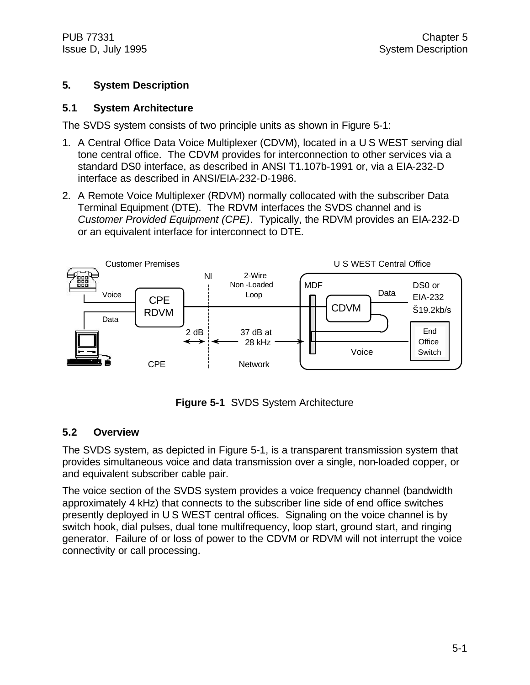## **5. System Description**

#### **5.1 System Architecture**

The SVDS system consists of two principle units as shown in Figure 5-1:

- 1. A Central Office Data Voice Multiplexer (CDVM), located in a U S WEST serving dial tone central office. The CDVM provides for interconnection to other services via a standard DS0 interface, as described in ANSI T1.107b-1991 or, via a EIA-232-D interface as described in ANSI/EIA-232-D-1986.
- 2. A Remote Voice Multiplexer (RDVM) normally collocated with the subscriber Data Terminal Equipment (DTE). The RDVM interfaces the SVDS channel and is *Customer Provided Equipment (CPE)*. Typically, the RDVM provides an EIA-232-D or an equivalent interface for interconnect to DTE.



**Figure 5-1** SVDS System Architecture

#### **5.2 Overview**

The SVDS system, as depicted in Figure 5-1, is a transparent transmission system that provides simultaneous voice and data transmission over a single, non-loaded copper, or and equivalent subscriber cable pair.

The voice section of the SVDS system provides a voice frequency channel (bandwidth approximately 4 kHz) that connects to the subscriber line side of end office switches presently deployed in U S WEST central offices. Signaling on the voice channel is by switch hook, dial pulses, dual tone multifrequency, loop start, ground start, and ringing generator. Failure of or loss of power to the CDVM or RDVM will not interrupt the voice connectivity or call processing.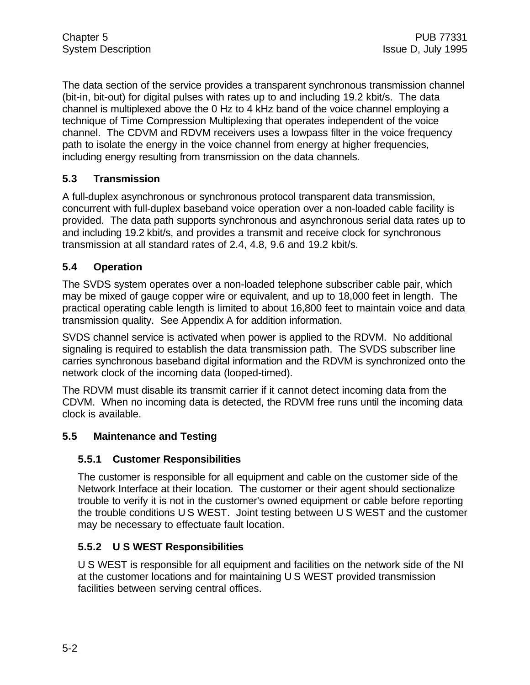The data section of the service provides a transparent synchronous transmission channel (bit-in, bit-out) for digital pulses with rates up to and including 19.2 kbit/s. The data channel is multiplexed above the 0 Hz to 4 kHz band of the voice channel employing a technique of Time Compression Multiplexing that operates independent of the voice channel. The CDVM and RDVM receivers uses a lowpass filter in the voice frequency path to isolate the energy in the voice channel from energy at higher frequencies, including energy resulting from transmission on the data channels.

## **5.3 Transmission**

A full-duplex asynchronous or synchronous protocol transparent data transmission, concurrent with full-duplex baseband voice operation over a non-loaded cable facility is provided. The data path supports synchronous and asynchronous serial data rates up to and including 19.2 kbit/s, and provides a transmit and receive clock for synchronous transmission at all standard rates of 2.4, 4.8, 9.6 and 19.2 kbit/s.

## **5.4 Operation**

The SVDS system operates over a non-loaded telephone subscriber cable pair, which may be mixed of gauge copper wire or equivalent, and up to 18,000 feet in length. The practical operating cable length is limited to about 16,800 feet to maintain voice and data transmission quality. See Appendix A for addition information.

SVDS channel service is activated when power is applied to the RDVM. No additional signaling is required to establish the data transmission path. The SVDS subscriber line carries synchronous baseband digital information and the RDVM is synchronized onto the network clock of the incoming data (looped-timed).

The RDVM must disable its transmit carrier if it cannot detect incoming data from the CDVM. When no incoming data is detected, the RDVM free runs until the incoming data clock is available.

## **5.5 Maintenance and Testing**

## **5.5.1 Customer Responsibilities**

The customer is responsible for all equipment and cable on the customer side of the Network Interface at their location. The customer or their agent should sectionalize trouble to verify it is not in the customer's owned equipment or cable before reporting the trouble conditions U S WEST. Joint testing between U S WEST and the customer may be necessary to effectuate fault location.

## **5.5.2 U S WEST Responsibilities**

U S WEST is responsible for all equipment and facilities on the network side of the NI at the customer locations and for maintaining U S WEST provided transmission facilities between serving central offices.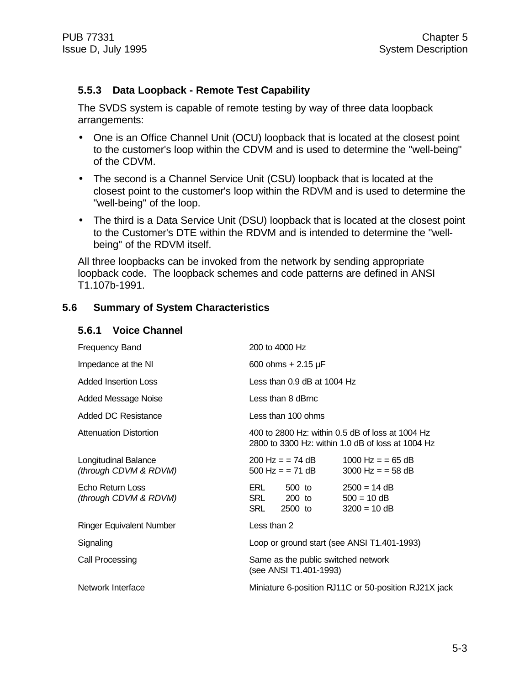#### **5.5.3 Data Loopback - Remote Test Capability**

The SVDS system is capable of remote testing by way of three data loopback arrangements:

- One is an Office Channel Unit (OCU) loopback that is located at the closest point to the customer's loop within the CDVM and is used to determine the "well-being" of the CDVM.
- The second is a Channel Service Unit (CSU) loopback that is located at the closest point to the customer's loop within the RDVM and is used to determine the "well-being" of the loop.
- The third is a Data Service Unit (DSU) loopback that is located at the closest point to the Customer's DTE within the RDVM and is intended to determine the "wellbeing" of the RDVM itself.

All three loopbacks can be invoked from the network by sending appropriate loopback code. The loopback schemes and code patterns are defined in ANSI T1.107b-1991.

#### **5.6 Summary of System Characteristics**

| <b>Voice Channel</b><br>5.6.1 |
|-------------------------------|
|-------------------------------|

| <b>Frequency Band</b>                         | 200 to 4000 Hz                                                                                        |                                                   |  |  |
|-----------------------------------------------|-------------------------------------------------------------------------------------------------------|---------------------------------------------------|--|--|
| Impedance at the NI                           | 600 ohms $+ 2.15 \mu F$                                                                               |                                                   |  |  |
| <b>Added Insertion Loss</b>                   | Less than $0.9$ dB at $1004$ Hz                                                                       |                                                   |  |  |
| Added Message Noise                           | Less than 8 dBrnc                                                                                     |                                                   |  |  |
| <b>Added DC Resistance</b>                    | Less than 100 ohms                                                                                    |                                                   |  |  |
| <b>Attenuation Distortion</b>                 | 400 to 2800 Hz: within 0.5 dB of loss at 1004 Hz<br>2800 to 3300 Hz: within 1.0 dB of loss at 1004 Hz |                                                   |  |  |
| Longitudinal Balance<br>(through CDVM & RDVM) | 200 Hz = = 74 dB<br>$500$ Hz = = 71 dB                                                                | 1000 Hz = $=$ 65 dB<br>$3000$ Hz = = 58 dB        |  |  |
| Echo Return Loss<br>(through CDVM & RDVM)     | ERL<br>500 to<br>SRL<br>200 to 200<br>SRL<br>2500 to                                                  | $2500 = 14 dB$<br>$500 = 10$ dB<br>$3200 = 10$ dB |  |  |
| <b>Ringer Equivalent Number</b>               | Less than 2                                                                                           |                                                   |  |  |
| Signaling                                     | Loop or ground start (see ANSI T1.401-1993)                                                           |                                                   |  |  |
| Call Processing                               | Same as the public switched network<br>(see ANSI T1.401-1993)                                         |                                                   |  |  |
| Network Interface                             | Miniature 6-position RJ11C or 50-position RJ21X jack                                                  |                                                   |  |  |
|                                               |                                                                                                       |                                                   |  |  |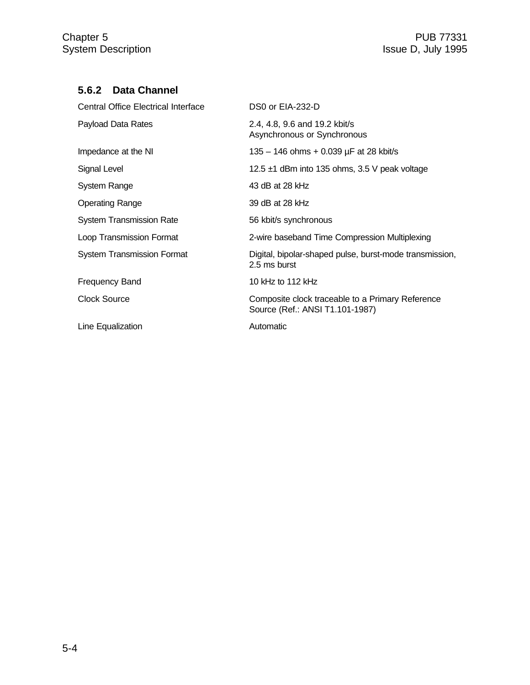## **5.6.2 Data Channel**

| <b>Central Office Electrical Interface</b> | DS0 or EIA-232-D                                                                    |
|--------------------------------------------|-------------------------------------------------------------------------------------|
| Payload Data Rates                         | 2.4, 4.8, 9.6 and 19.2 kbit/s<br>Asynchronous or Synchronous                        |
| Impedance at the NI                        | 135 – 146 ohms + 0.039 $\mu$ F at 28 kbit/s                                         |
| Signal Level                               | 12.5 $\pm$ 1 dBm into 135 ohms, 3.5 V peak voltage                                  |
| System Range                               | 43 dB at 28 kHz                                                                     |
| <b>Operating Range</b>                     | 39 dB at 28 kHz                                                                     |
| <b>System Transmission Rate</b>            | 56 kbit/s synchronous                                                               |
| Loop Transmission Format                   | 2-wire baseband Time Compression Multiplexing                                       |
| <b>System Transmission Format</b>          | Digital, bipolar-shaped pulse, burst-mode transmission,<br>2.5 ms burst             |
| <b>Frequency Band</b>                      | 10 kHz to 112 kHz                                                                   |
| <b>Clock Source</b>                        | Composite clock traceable to a Primary Reference<br>Source (Ref.: ANSI T1.101-1987) |
| Line Equalization                          | Automatic                                                                           |
|                                            |                                                                                     |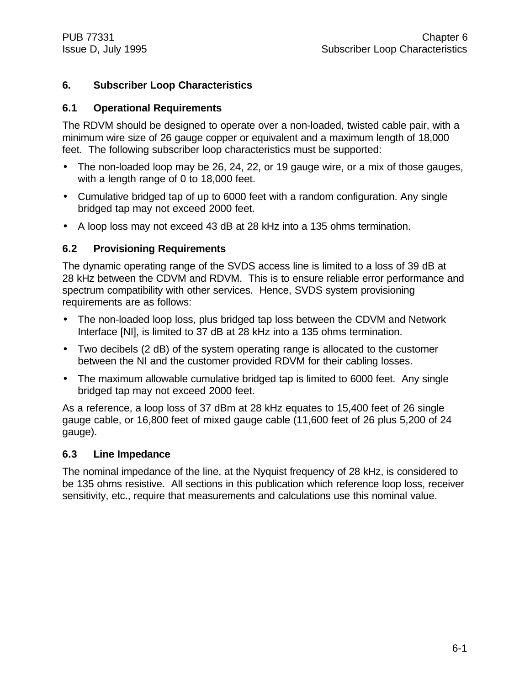## **6. Subscriber Loop Characteristics**

#### **6.1 Operational Requirements**

The RDVM should be designed to operate over a non-loaded, twisted cable pair, with a minimum wire size of 26 gauge copper or equivalent and a maximum length of 18,000 feet. The following subscriber loop characteristics must be supported:

- The non-loaded loop may be 26, 24, 22, or 19 gauge wire, or a mix of those gauges, with a length range of 0 to 18,000 feet.
- Cumulative bridged tap of up to 6000 feet with a random configuration. Any single bridged tap may not exceed 2000 feet.
- A loop loss may not exceed 43 dB at 28 kHz into a 135 ohms termination.

#### **6.2 Provisioning Requirements**

The dynamic operating range of the SVDS access line is limited to a loss of 39 dB at 28 kHz between the CDVM and RDVM. This is to ensure reliable error performance and spectrum compatibility with other services. Hence, SVDS system provisioning requirements are as follows:

- The non-loaded loop loss, plus bridged tap loss between the CDVM and Network Interface [NI], is limited to 37 dB at 28 kHz into a 135 ohms termination.
- Two decibels (2 dB) of the system operating range is allocated to the customer between the NI and the customer provided RDVM for their cabling losses.
- The maximum allowable cumulative bridged tap is limited to 6000 feet. Any single bridged tap may not exceed 2000 feet.

As a reference, a loop loss of 37 dBm at 28 kHz equates to 15,400 feet of 26 single gauge cable, or 16,800 feet of mixed gauge cable (11,600 feet of 26 plus 5,200 of 24 gauge).

#### **6.3 Line Impedance**

The nominal impedance of the line, at the Nyquist frequency of 28 kHz, is considered to be 135 ohms resistive. All sections in this publication which reference loop loss, receiver sensitivity, etc., require that measurements and calculations use this nominal value.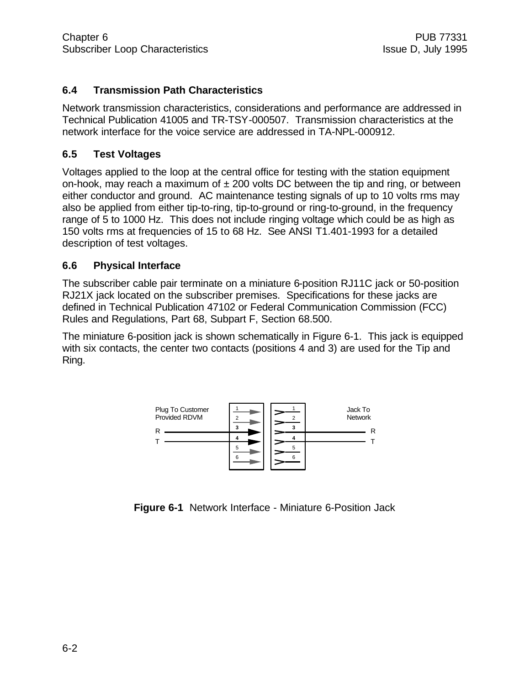## **6.4 Transmission Path Characteristics**

Network transmission characteristics, considerations and performance are addressed in Technical Publication 41005 and TR-TSY-000507. Transmission characteristics at the network interface for the voice service are addressed in TA-NPL-000912.

#### **6.5 Test Voltages**

Voltages applied to the loop at the central office for testing with the station equipment on-hook, may reach a maximum of  $\pm$  200 volts DC between the tip and ring, or between either conductor and ground. AC maintenance testing signals of up to 10 volts rms may also be applied from either tip-to-ring, tip-to-ground or ring-to-ground, in the frequency range of 5 to 1000 Hz. This does not include ringing voltage which could be as high as 150 volts rms at frequencies of 15 to 68 Hz. See ANSI T1.401-1993 for a detailed description of test voltages.

#### **6.6 Physical Interface**

The subscriber cable pair terminate on a miniature 6-position RJ11C jack or 50-position RJ21X jack located on the subscriber premises. Specifications for these jacks are defined in Technical Publication 47102 or Federal Communication Commission (FCC) Rules and Regulations, Part 68, Subpart F, Section 68.500.

The miniature 6-position jack is shown schematically in Figure 6-1. This jack is equipped with six contacts, the center two contacts (positions 4 and 3) are used for the Tip and Ring.



**Figure 6-1** Network Interface - Miniature 6-Position Jack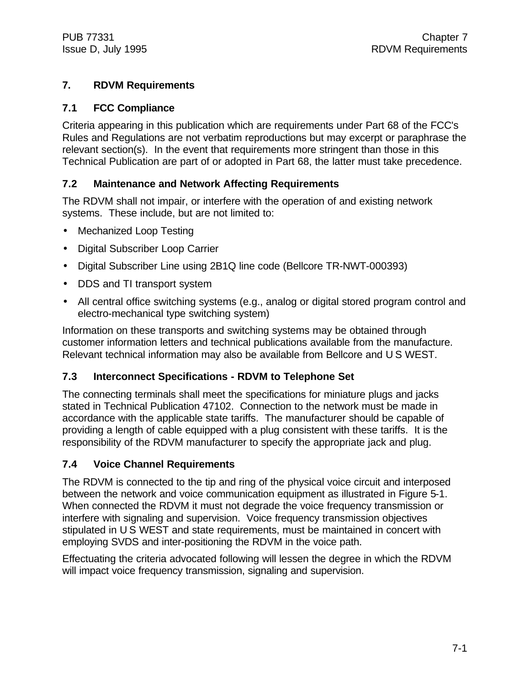## **7. RDVM Requirements**

## **7.1 FCC Compliance**

Criteria appearing in this publication which are requirements under Part 68 of the FCC's Rules and Regulations are not verbatim reproductions but may excerpt or paraphrase the relevant section(s). In the event that requirements more stringent than those in this Technical Publication are part of or adopted in Part 68, the latter must take precedence.

## **7.2 Maintenance and Network Affecting Requirements**

The RDVM shall not impair, or interfere with the operation of and existing network systems. These include, but are not limited to:

- Mechanized Loop Testing
- Digital Subscriber Loop Carrier
- Digital Subscriber Line using 2B1Q line code (Bellcore TR-NWT-000393)
- DDS and TI transport system
- All central office switching systems (e.g., analog or digital stored program control and electro-mechanical type switching system)

Information on these transports and switching systems may be obtained through customer information letters and technical publications available from the manufacture. Relevant technical information may also be available from Bellcore and U S WEST.

## **7.3 Interconnect Specifications - RDVM to Telephone Set**

The connecting terminals shall meet the specifications for miniature plugs and jacks stated in Technical Publication 47102. Connection to the network must be made in accordance with the applicable state tariffs. The manufacturer should be capable of providing a length of cable equipped with a plug consistent with these tariffs. It is the responsibility of the RDVM manufacturer to specify the appropriate jack and plug.

## **7.4 Voice Channel Requirements**

The RDVM is connected to the tip and ring of the physical voice circuit and interposed between the network and voice communication equipment as illustrated in Figure 5-1. When connected the RDVM it must not degrade the voice frequency transmission or interfere with signaling and supervision. Voice frequency transmission objectives stipulated in U S WEST and state requirements, must be maintained in concert with employing SVDS and inter-positioning the RDVM in the voice path.

Effectuating the criteria advocated following will lessen the degree in which the RDVM will impact voice frequency transmission, signaling and supervision.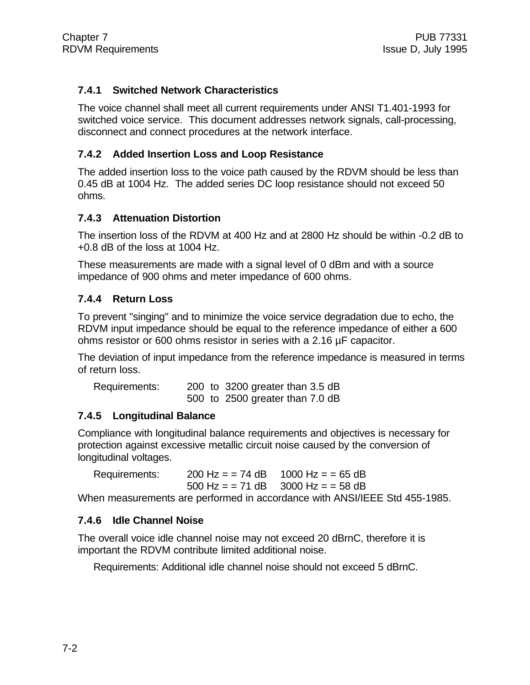## **7.4.1 Switched Network Characteristics**

The voice channel shall meet all current requirements under ANSI T1.401-1993 for switched voice service. This document addresses network signals, call-processing, disconnect and connect procedures at the network interface.

#### **7.4.2 Added Insertion Loss and Loop Resistance**

The added insertion loss to the voice path caused by the RDVM should be less than 0.45 dB at 1004 Hz. The added series DC loop resistance should not exceed 50 ohms.

#### **7.4.3 Attenuation Distortion**

The insertion loss of the RDVM at 400 Hz and at 2800 Hz should be within -0.2 dB to +0.8 dB of the loss at 1004 Hz.

These measurements are made with a signal level of 0 dBm and with a source impedance of 900 ohms and meter impedance of 600 ohms.

#### **7.4.4 Return Loss**

To prevent "singing" and to minimize the voice service degradation due to echo, the RDVM input impedance should be equal to the reference impedance of either a 600 ohms resistor or 600 ohms resistor in series with a 2.16 µF capacitor.

The deviation of input impedance from the reference impedance is measured in terms of return loss.

| Requirements: |  | 200 to 3200 greater than 3.5 dB |
|---------------|--|---------------------------------|
|               |  | 500 to 2500 greater than 7.0 dB |

#### **7.4.5 Longitudinal Balance**

Compliance with longitudinal balance requirements and objectives is necessary for protection against excessive metallic circuit noise caused by the conversion of longitudinal voltages.

Requirements:  $200 \text{ Hz} = 74 \text{ dB}$  1000 Hz =  $= 65 \text{ dB}$ 500 Hz =  $= 71$  dB 3000 Hz =  $= 58$  dB

When measurements are performed in accordance with ANSI/IEEE Std 455-1985.

## **7.4.6 Idle Channel Noise**

The overall voice idle channel noise may not exceed 20 dBrnC, therefore it is important the RDVM contribute limited additional noise.

Requirements: Additional idle channel noise should not exceed 5 dBrnC.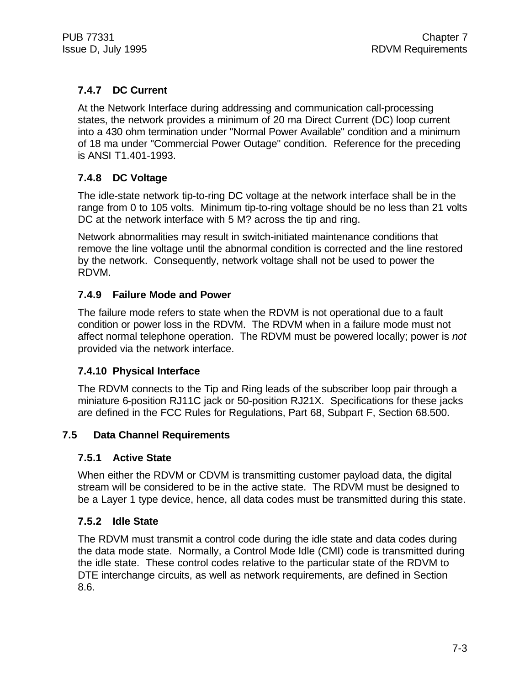## **7.4.7 DC Current**

At the Network Interface during addressing and communication call-processing states, the network provides a minimum of 20 ma Direct Current (DC) loop current into a 430 ohm termination under "Normal Power Available" condition and a minimum of 18 ma under "Commercial Power Outage" condition. Reference for the preceding is ANSI T1.401-1993.

## **7.4.8 DC Voltage**

The idle-state network tip-to-ring DC voltage at the network interface shall be in the range from 0 to 105 volts. Minimum tip-to-ring voltage should be no less than 21 volts DC at the network interface with 5 M? across the tip and ring.

Network abnormalities may result in switch-initiated maintenance conditions that remove the line voltage until the abnormal condition is corrected and the line restored by the network. Consequently, network voltage shall not be used to power the RDVM.

## **7.4.9 Failure Mode and Power**

The failure mode refers to state when the RDVM is not operational due to a fault condition or power loss in the RDVM. The RDVM when in a failure mode must not affect normal telephone operation. The RDVM must be powered locally; power is *not* provided via the network interface.

## **7.4.10 Physical Interface**

The RDVM connects to the Tip and Ring leads of the subscriber loop pair through a miniature 6-position RJ11C jack or 50-position RJ21X. Specifications for these jacks are defined in the FCC Rules for Regulations, Part 68, Subpart F, Section 68.500.

## **7.5 Data Channel Requirements**

## **7.5.1 Active State**

When either the RDVM or CDVM is transmitting customer payload data, the digital stream will be considered to be in the active state. The RDVM must be designed to be a Layer 1 type device, hence, all data codes must be transmitted during this state.

## **7.5.2 Idle State**

The RDVM must transmit a control code during the idle state and data codes during the data mode state. Normally, a Control Mode Idle (CMI) code is transmitted during the idle state. These control codes relative to the particular state of the RDVM to DTE interchange circuits, as well as network requirements, are defined in Section 8.6.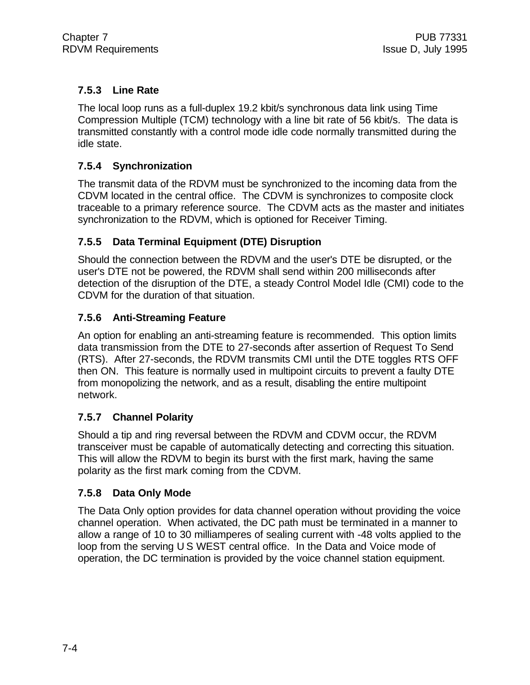## **7.5.3 Line Rate**

The local loop runs as a full-duplex 19.2 kbit/s synchronous data link using Time Compression Multiple (TCM) technology with a line bit rate of 56 kbit/s. The data is transmitted constantly with a control mode idle code normally transmitted during the idle state.

## **7.5.4 Synchronization**

The transmit data of the RDVM must be synchronized to the incoming data from the CDVM located in the central office. The CDVM is synchronizes to composite clock traceable to a primary reference source. The CDVM acts as the master and initiates synchronization to the RDVM, which is optioned for Receiver Timing.

## **7.5.5 Data Terminal Equipment (DTE) Disruption**

Should the connection between the RDVM and the user's DTE be disrupted, or the user's DTE not be powered, the RDVM shall send within 200 milliseconds after detection of the disruption of the DTE, a steady Control Model Idle (CMI) code to the CDVM for the duration of that situation.

## **7.5.6 Anti-Streaming Feature**

An option for enabling an anti-streaming feature is recommended. This option limits data transmission from the DTE to 27-seconds after assertion of Request To Send (RTS). After 27-seconds, the RDVM transmits CMI until the DTE toggles RTS OFF then ON. This feature is normally used in multipoint circuits to prevent a faulty DTE from monopolizing the network, and as a result, disabling the entire multipoint network.

## **7.5.7 Channel Polarity**

Should a tip and ring reversal between the RDVM and CDVM occur, the RDVM transceiver must be capable of automatically detecting and correcting this situation. This will allow the RDVM to begin its burst with the first mark, having the same polarity as the first mark coming from the CDVM.

## **7.5.8 Data Only Mode**

The Data Only option provides for data channel operation without providing the voice channel operation. When activated, the DC path must be terminated in a manner to allow a range of 10 to 30 milliamperes of sealing current with -48 volts applied to the loop from the serving U S WEST central office. In the Data and Voice mode of operation, the DC termination is provided by the voice channel station equipment.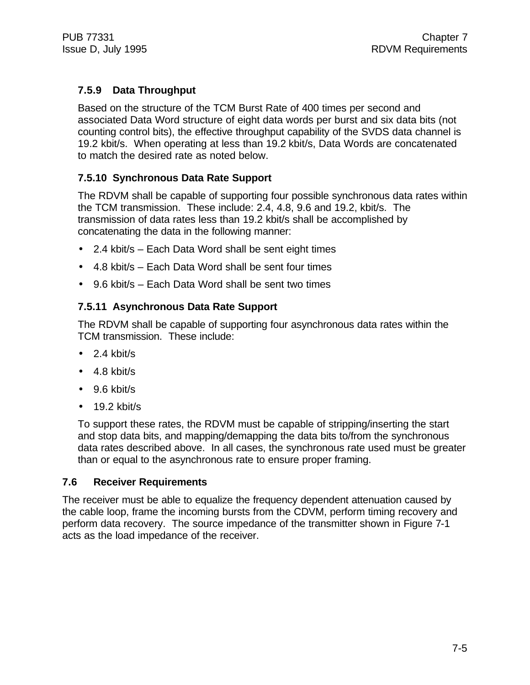## **7.5.9 Data Throughput**

Based on the structure of the TCM Burst Rate of 400 times per second and associated Data Word structure of eight data words per burst and six data bits (not counting control bits), the effective throughput capability of the SVDS data channel is 19.2 kbit/s. When operating at less than 19.2 kbit/s, Data Words are concatenated to match the desired rate as noted below.

## **7.5.10 Synchronous Data Rate Support**

The RDVM shall be capable of supporting four possible synchronous data rates within the TCM transmission. These include: 2.4, 4.8, 9.6 and 19.2, kbit/s. The transmission of data rates less than 19.2 kbit/s shall be accomplished by concatenating the data in the following manner:

- 2.4 kbit/s Each Data Word shall be sent eight times
- 4.8 kbit/s Each Data Word shall be sent four times
- 9.6 kbit/s Each Data Word shall be sent two times

## **7.5.11 Asynchronous Data Rate Support**

The RDVM shall be capable of supporting four asynchronous data rates within the TCM transmission. These include:

- $\bullet$  2.4 kbit/s
- 4.8 kbit/s
- 9.6 kbit/s
- $\bullet$  19.2 kbit/s

To support these rates, the RDVM must be capable of stripping/inserting the start and stop data bits, and mapping/demapping the data bits to/from the synchronous data rates described above. In all cases, the synchronous rate used must be greater than or equal to the asynchronous rate to ensure proper framing.

#### **7.6 Receiver Requirements**

The receiver must be able to equalize the frequency dependent attenuation caused by the cable loop, frame the incoming bursts from the CDVM, perform timing recovery and perform data recovery. The source impedance of the transmitter shown in Figure 7-1 acts as the load impedance of the receiver.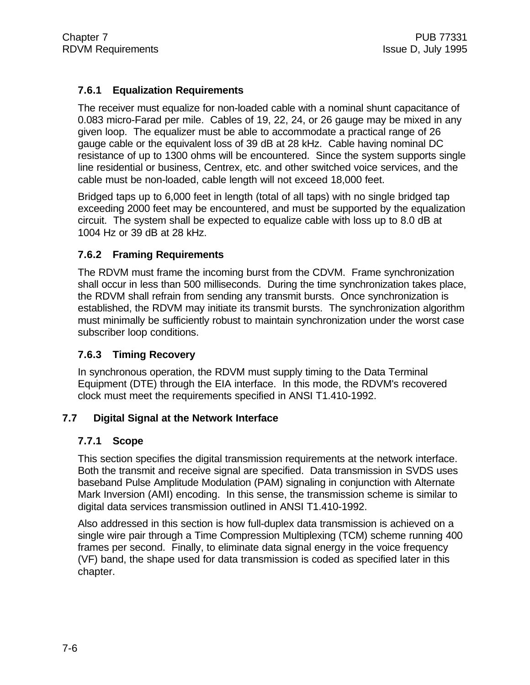## **7.6.1 Equalization Requirements**

The receiver must equalize for non-loaded cable with a nominal shunt capacitance of 0.083 micro-Farad per mile. Cables of 19, 22, 24, or 26 gauge may be mixed in any given loop. The equalizer must be able to accommodate a practical range of 26 gauge cable or the equivalent loss of 39 dB at 28 kHz. Cable having nominal DC resistance of up to 1300 ohms will be encountered. Since the system supports single line residential or business, Centrex, etc. and other switched voice services, and the cable must be non-loaded, cable length will not exceed 18,000 feet.

Bridged taps up to 6,000 feet in length (total of all taps) with no single bridged tap exceeding 2000 feet may be encountered, and must be supported by the equalization circuit. The system shall be expected to equalize cable with loss up to 8.0 dB at 1004 Hz or 39 dB at 28 kHz.

#### **7.6.2 Framing Requirements**

The RDVM must frame the incoming burst from the CDVM. Frame synchronization shall occur in less than 500 milliseconds. During the time synchronization takes place, the RDVM shall refrain from sending any transmit bursts. Once synchronization is established, the RDVM may initiate its transmit bursts. The synchronization algorithm must minimally be sufficiently robust to maintain synchronization under the worst case subscriber loop conditions.

#### **7.6.3 Timing Recovery**

In synchronous operation, the RDVM must supply timing to the Data Terminal Equipment (DTE) through the EIA interface. In this mode, the RDVM's recovered clock must meet the requirements specified in ANSI T1.410-1992.

#### **7.7 Digital Signal at the Network Interface**

#### **7.7.1 Scope**

This section specifies the digital transmission requirements at the network interface. Both the transmit and receive signal are specified. Data transmission in SVDS uses baseband Pulse Amplitude Modulation (PAM) signaling in conjunction with Alternate Mark Inversion (AMI) encoding. In this sense, the transmission scheme is similar to digital data services transmission outlined in ANSI T1.410-1992.

Also addressed in this section is how full-duplex data transmission is achieved on a single wire pair through a Time Compression Multiplexing (TCM) scheme running 400 frames per second. Finally, to eliminate data signal energy in the voice frequency (VF) band, the shape used for data transmission is coded as specified later in this chapter.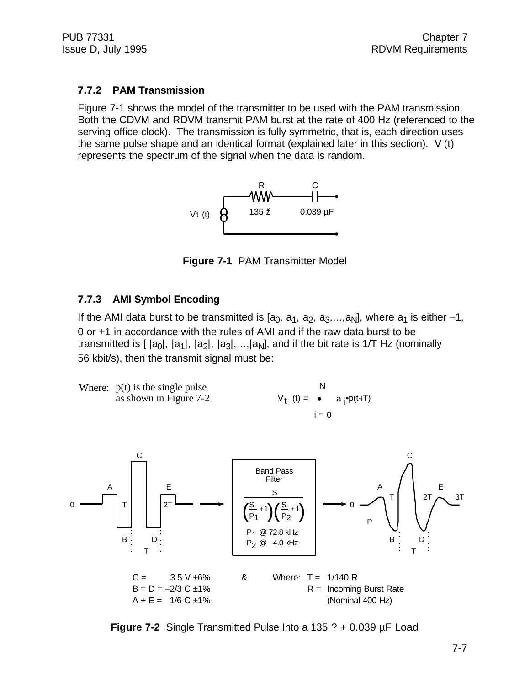## **7.7.2 PAM Transmission**

Figure 7-1 shows the model of the transmitter to be used with the PAM transmission. Both the CDVM and RDVM transmit PAM burst at the rate of 400 Hz (referenced to the serving office clock). The transmission is fully symmetric, that is, each direction uses the same pulse shape and an identical format (explained later in this section). V (t) represents the spectrum of the signal when the data is random.



**Figure 7-1** PAM Transmitter Model

## **7.7.3 AMI Symbol Encoding**

If the AMI data burst to be transmitted is  $[a_0, a_1, a_2, a_3,...,a_N]$ , where  $a_1$  is either -1, 0 or +1 in accordance with the rules of AMI and if the raw data burst to be transmitted is [ |a<sub>0</sub>|, |a<sub>1</sub>|, |a<sub>2</sub>|, |a<sub>3</sub>|,…,|a<sub>N</sub>], and if the bit rate is 1/T Hz (nominally 56 kbit/s), then the transmit signal must be:

 $V_t$  (t) =  $i = 0$ Where:  $p(t)$  is the single pulse  $N$ as shown in Figure 7-2  $a_i^{\bullet}p(t-iT)$ 



**Figure 7-2** Single Transmitted Pulse Into a 135 ? + 0.039 µF Load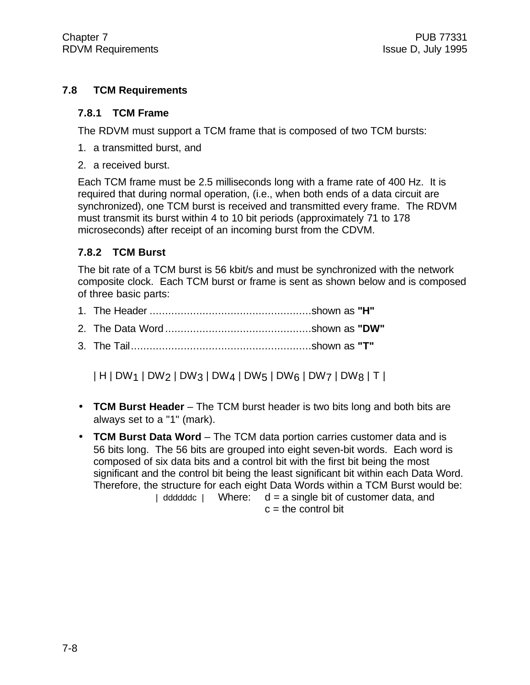## **7.8 TCM Requirements**

#### **7.8.1 TCM Frame**

The RDVM must support a TCM frame that is composed of two TCM bursts:

- 1. a transmitted burst, and
- 2. a received burst.

Each TCM frame must be 2.5 milliseconds long with a frame rate of 400 Hz. It is required that during normal operation, (i.e., when both ends of a data circuit are synchronized), one TCM burst is received and transmitted every frame. The RDVM must transmit its burst within 4 to 10 bit periods (approximately 71 to 178 microseconds) after receipt of an incoming burst from the CDVM.

## **7.8.2 TCM Burst**

The bit rate of a TCM burst is 56 kbit/s and must be synchronized with the network composite clock. Each TCM burst or frame is sent as shown below and is composed of three basic parts:

|--|--|--|--|

- 2. The Data Word ...............................................shown as **"DW"**
- 3. The Tail..........................................................shown as **"T"**

| H | DW1 | DW2 | DW3 | DW4 | DW5 | DW6 | DW7 | DW8 | T |

- **TCM Burst Header**  The TCM burst header is two bits long and both bits are always set to a "1" (mark).
- **TCM Burst Data Word** The TCM data portion carries customer data and is 56 bits long. The 56 bits are grouped into eight seven-bit words. Each word is composed of six data bits and a control bit with the first bit being the most significant and the control bit being the least significant bit within each Data Word. Therefore, the structure for each eight Data Words within a TCM Burst would be: | ddddddc | Where:  $d = a$  single bit of customer data, and  $c =$  the control bit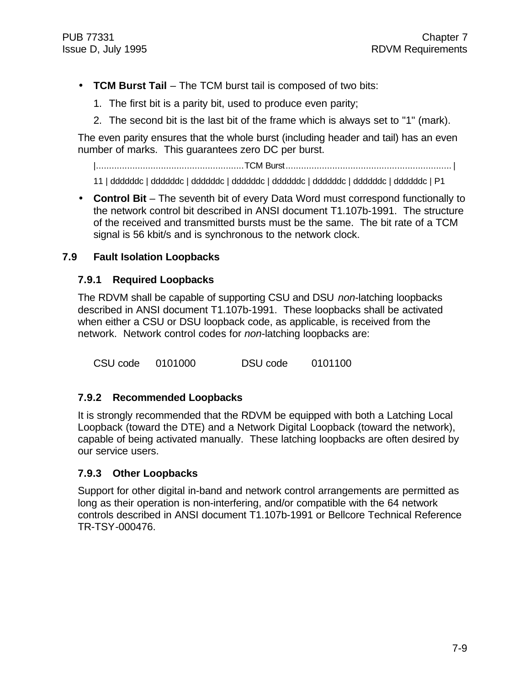- **TCM Burst Tail**  The TCM burst tail is composed of two bits:
	- 1. The first bit is a parity bit, used to produce even parity;
	- 2. The second bit is the last bit of the frame which is always set to "1" (mark).

The even parity ensures that the whole burst (including header and tail) has an even number of marks. This guarantees zero DC per burst.

|.........................................................TCM Burst................................................................ |

11 | ddddddc | ddddddc | ddddddc | ddddddc | ddddddc | ddddddc | ddddddc | ddddddc | P1

• **Control Bit** – The seventh bit of every Data Word must correspond functionally to the network control bit described in ANSI document T1.107b-1991. The structure of the received and transmitted bursts must be the same. The bit rate of a TCM signal is 56 kbit/s and is synchronous to the network clock.

#### **7.9 Fault Isolation Loopbacks**

#### **7.9.1 Required Loopbacks**

The RDVM shall be capable of supporting CSU and DSU *non*-latching loopbacks described in ANSI document T1.107b-1991. These loopbacks shall be activated when either a CSU or DSU loopback code, as applicable, is received from the network. Network control codes for *non*-latching loopbacks are:

CSU code 0101000 DSU code 0101100

#### **7.9.2 Recommended Loopbacks**

It is strongly recommended that the RDVM be equipped with both a Latching Local Loopback (toward the DTE) and a Network Digital Loopback (toward the network), capable of being activated manually. These latching loopbacks are often desired by our service users.

#### **7.9.3 Other Loopbacks**

Support for other digital in-band and network control arrangements are permitted as long as their operation is non-interfering, and/or compatible with the 64 network controls described in ANSI document T1.107b-1991 or Bellcore Technical Reference TR-TSY-000476.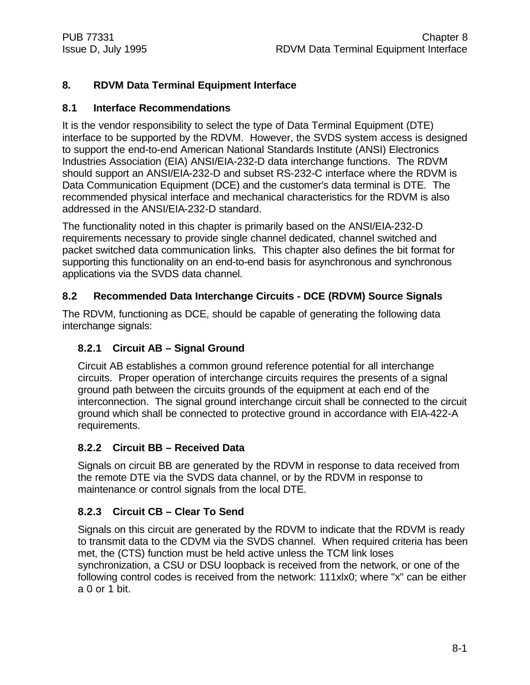## **8. RDVM Data Terminal Equipment Interface**

## **8.1 Interface Recommendations**

It is the vendor responsibility to select the type of Data Terminal Equipment (DTE) interface to be supported by the RDVM. However, the SVDS system access is designed to support the end-to-end American National Standards Institute (ANSI) Electronics Industries Association (EIA) ANSI/EIA-232-D data interchange functions. The RDVM should support an ANSI/EIA-232-D and subset RS-232-C interface where the RDVM is Data Communication Equipment (DCE) and the customer's data terminal is DTE. The recommended physical interface and mechanical characteristics for the RDVM is also addressed in the ANSI/EIA-232-D standard.

The functionality noted in this chapter is primarily based on the ANSI/EIA-232-D requirements necessary to provide single channel dedicated, channel switched and packet switched data communication links. This chapter also defines the bit format for supporting this functionality on an end-to-end basis for asynchronous and synchronous applications via the SVDS data channel.

## **8.2 Recommended Data Interchange Circuits - DCE (RDVM) Source Signals**

The RDVM, functioning as DCE, should be capable of generating the following data interchange signals:

## **8.2.1 Circuit AB – Signal Ground**

Circuit AB establishes a common ground reference potential for all interchange circuits. Proper operation of interchange circuits requires the presents of a signal ground path between the circuits grounds of the equipment at each end of the interconnection. The signal ground interchange circuit shall be connected to the circuit ground which shall be connected to protective ground in accordance with EIA-422-A requirements.

## **8.2.2 Circuit BB – Received Data**

Signals on circuit BB are generated by the RDVM in response to data received from the remote DTE via the SVDS data channel, or by the RDVM in response to maintenance or control signals from the local DTE.

## **8.2.3 Circuit CB – Clear To Send**

Signals on this circuit are generated by the RDVM to indicate that the RDVM is ready to transmit data to the CDVM via the SVDS channel. When required criteria has been met, the (CTS) function must be held active unless the TCM link loses synchronization, a CSU or DSU loopback is received from the network, or one of the following control codes is received from the network: 111xlx0; where "x" can be either a 0 or 1 bit.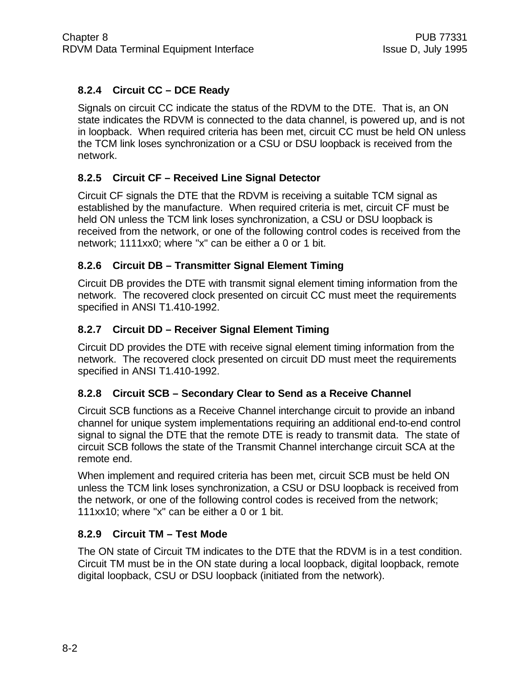## **8.2.4 Circuit CC – DCE Ready**

Signals on circuit CC indicate the status of the RDVM to the DTE. That is, an ON state indicates the RDVM is connected to the data channel, is powered up, and is not in loopback. When required criteria has been met, circuit CC must be held ON unless the TCM link loses synchronization or a CSU or DSU loopback is received from the network.

## **8.2.5 Circuit CF – Received Line Signal Detector**

Circuit CF signals the DTE that the RDVM is receiving a suitable TCM signal as established by the manufacture. When required criteria is met, circuit CF must be held ON unless the TCM link loses synchronization, a CSU or DSU loopback is received from the network, or one of the following control codes is received from the network; 1111xx0; where "x" can be either a 0 or 1 bit.

## **8.2.6 Circuit DB – Transmitter Signal Element Timing**

Circuit DB provides the DTE with transmit signal element timing information from the network. The recovered clock presented on circuit CC must meet the requirements specified in ANSI T1.410-1992.

## **8.2.7 Circuit DD – Receiver Signal Element Timing**

Circuit DD provides the DTE with receive signal element timing information from the network. The recovered clock presented on circuit DD must meet the requirements specified in ANSI T1.410-1992.

## **8.2.8 Circuit SCB – Secondary Clear to Send as a Receive Channel**

Circuit SCB functions as a Receive Channel interchange circuit to provide an inband channel for unique system implementations requiring an additional end-to-end control signal to signal the DTE that the remote DTE is ready to transmit data. The state of circuit SCB follows the state of the Transmit Channel interchange circuit SCA at the remote end.

When implement and required criteria has been met, circuit SCB must be held ON unless the TCM link loses synchronization, a CSU or DSU loopback is received from the network, or one of the following control codes is received from the network; 111xx10; where "x" can be either a 0 or 1 bit.

## **8.2.9 Circuit TM – Test Mode**

The ON state of Circuit TM indicates to the DTE that the RDVM is in a test condition. Circuit TM must be in the ON state during a local loopback, digital loopback, remote digital loopback, CSU or DSU loopback (initiated from the network).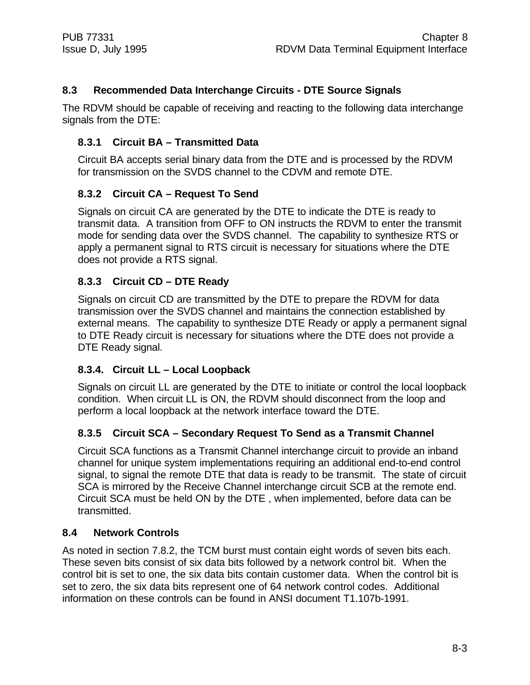## **8.3 Recommended Data Interchange Circuits - DTE Source Signals**

The RDVM should be capable of receiving and reacting to the following data interchange signals from the DTE:

## **8.3.1 Circuit BA – Transmitted Data**

Circuit BA accepts serial binary data from the DTE and is processed by the RDVM for transmission on the SVDS channel to the CDVM and remote DTE.

## **8.3.2 Circuit CA – Request To Send**

Signals on circuit CA are generated by the DTE to indicate the DTE is ready to transmit data. A transition from OFF to ON instructs the RDVM to enter the transmit mode for sending data over the SVDS channel. The capability to synthesize RTS or apply a permanent signal to RTS circuit is necessary for situations where the DTE does not provide a RTS signal.

## **8.3.3 Circuit CD – DTE Ready**

Signals on circuit CD are transmitted by the DTE to prepare the RDVM for data transmission over the SVDS channel and maintains the connection established by external means. The capability to synthesize DTE Ready or apply a permanent signal to DTE Ready circuit is necessary for situations where the DTE does not provide a DTE Ready signal.

#### **8.3.4. Circuit LL – Local Loopback**

Signals on circuit LL are generated by the DTE to initiate or control the local loopback condition. When circuit LL is ON, the RDVM should disconnect from the loop and perform a local loopback at the network interface toward the DTE.

## **8.3.5 Circuit SCA – Secondary Request To Send as a Transmit Channel**

Circuit SCA functions as a Transmit Channel interchange circuit to provide an inband channel for unique system implementations requiring an additional end-to-end control signal, to signal the remote DTE that data is ready to be transmit. The state of circuit SCA is mirrored by the Receive Channel interchange circuit SCB at the remote end. Circuit SCA must be held ON by the DTE , when implemented, before data can be transmitted.

#### **8.4 Network Controls**

As noted in section 7.8.2, the TCM burst must contain eight words of seven bits each. These seven bits consist of six data bits followed by a network control bit. When the control bit is set to one, the six data bits contain customer data. When the control bit is set to zero, the six data bits represent one of 64 network control codes. Additional information on these controls can be found in ANSI document T1.107b-1991.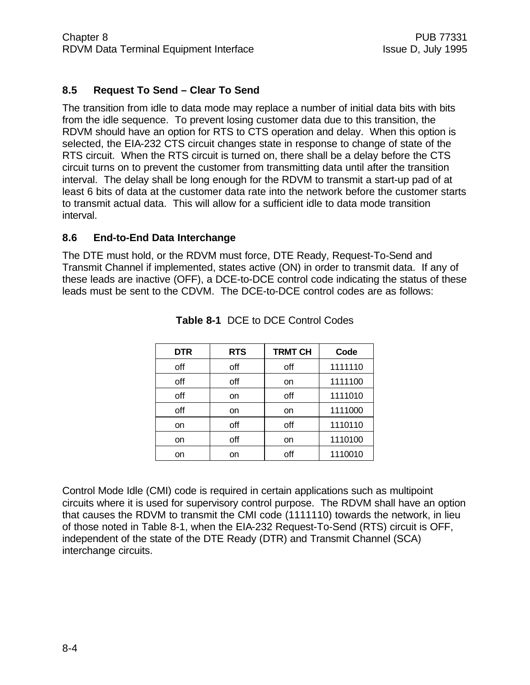## **8.5 Request To Send – Clear To Send**

The transition from idle to data mode may replace a number of initial data bits with bits from the idle sequence. To prevent losing customer data due to this transition, the RDVM should have an option for RTS to CTS operation and delay. When this option is selected, the EIA-232 CTS circuit changes state in response to change of state of the RTS circuit. When the RTS circuit is turned on, there shall be a delay before the CTS circuit turns on to prevent the customer from transmitting data until after the transition interval. The delay shall be long enough for the RDVM to transmit a start-up pad of at least 6 bits of data at the customer data rate into the network before the customer starts to transmit actual data. This will allow for a sufficient idle to data mode transition interval.

#### **8.6 End-to-End Data Interchange**

The DTE must hold, or the RDVM must force, DTE Ready, Request-To-Send and Transmit Channel if implemented, states active (ON) in order to transmit data. If any of these leads are inactive (OFF), a DCE-to-DCE control code indicating the status of these leads must be sent to the CDVM. The DCE-to-DCE control codes are as follows:

| <b>DTR</b> | <b>RTS</b> | <b>TRMT CH</b> | Code    |  |
|------------|------------|----------------|---------|--|
| off        | off        | off            | 1111110 |  |
| off        | off        | on             | 1111100 |  |
| off        | <b>on</b>  | off            | 1111010 |  |
| off        | on         | on             | 1111000 |  |
| on         | off        | off            | 1110110 |  |
| on         | off        | on             | 1110100 |  |
| on         | on         | off            | 1110010 |  |

| <b>Table 8-1 DCE to DCE Control Codes</b> |
|-------------------------------------------|
|-------------------------------------------|

Control Mode Idle (CMI) code is required in certain applications such as multipoint circuits where it is used for supervisory control purpose. The RDVM shall have an option that causes the RDVM to transmit the CMI code (1111110) towards the network, in lieu of those noted in Table 8-1, when the EIA-232 Request-To-Send (RTS) circuit is OFF, independent of the state of the DTE Ready (DTR) and Transmit Channel (SCA) interchange circuits.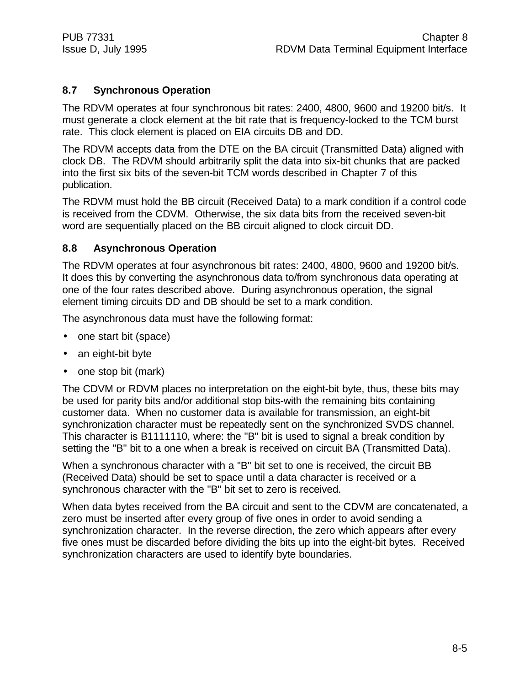## **8.7 Synchronous Operation**

The RDVM operates at four synchronous bit rates: 2400, 4800, 9600 and 19200 bit/s. It must generate a clock element at the bit rate that is frequency-locked to the TCM burst rate. This clock element is placed on EIA circuits DB and DD.

The RDVM accepts data from the DTE on the BA circuit (Transmitted Data) aligned with clock DB. The RDVM should arbitrarily split the data into six-bit chunks that are packed into the first six bits of the seven-bit TCM words described in Chapter 7 of this publication.

The RDVM must hold the BB circuit (Received Data) to a mark condition if a control code is received from the CDVM. Otherwise, the six data bits from the received seven-bit word are sequentially placed on the BB circuit aligned to clock circuit DD.

## **8.8 Asynchronous Operation**

The RDVM operates at four asynchronous bit rates: 2400, 4800, 9600 and 19200 bit/s. It does this by converting the asynchronous data to/from synchronous data operating at one of the four rates described above. During asynchronous operation, the signal element timing circuits DD and DB should be set to a mark condition.

The asynchronous data must have the following format:

- one start bit (space)
- an eight-bit byte
- one stop bit (mark)

The CDVM or RDVM places no interpretation on the eight-bit byte, thus, these bits may be used for parity bits and/or additional stop bits-with the remaining bits containing customer data. When no customer data is available for transmission, an eight-bit synchronization character must be repeatedly sent on the synchronized SVDS channel. This character is B1111110, where: the "B" bit is used to signal a break condition by setting the "B" bit to a one when a break is received on circuit BA (Transmitted Data).

When a synchronous character with a "B" bit set to one is received, the circuit BB (Received Data) should be set to space until a data character is received or a synchronous character with the "B" bit set to zero is received.

When data bytes received from the BA circuit and sent to the CDVM are concatenated, a zero must be inserted after every group of five ones in order to avoid sending a synchronization character. In the reverse direction, the zero which appears after every five ones must be discarded before dividing the bits up into the eight-bit bytes. Received synchronization characters are used to identify byte boundaries.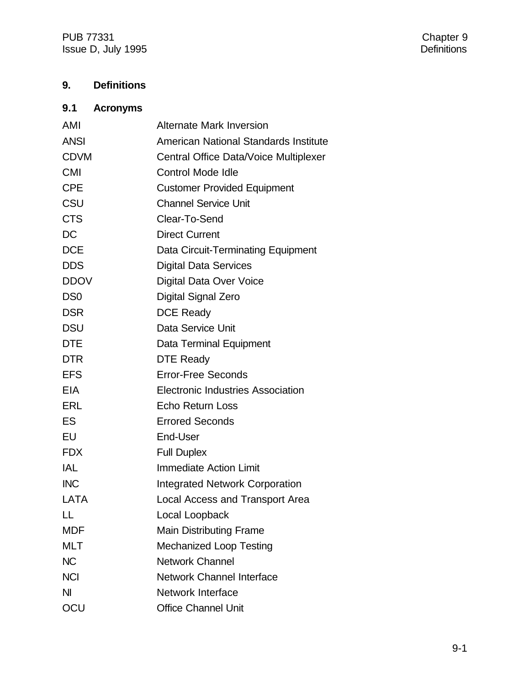PUB 77331 Chapter 9 Issue D, July 1995 **Definitions** 

## **9. Definitions**

## **9.1 Acronyms**

| AMI             | <b>Alternate Mark Inversion</b>          |
|-----------------|------------------------------------------|
| <b>ANSI</b>     | American National Standards Institute    |
| <b>CDVM</b>     | Central Office Data/Voice Multiplexer    |
| <b>CMI</b>      | <b>Control Mode Idle</b>                 |
| <b>CPE</b>      | <b>Customer Provided Equipment</b>       |
| CSU             | <b>Channel Service Unit</b>              |
| <b>CTS</b>      | Clear-To-Send                            |
| <b>DC</b>       | <b>Direct Current</b>                    |
| <b>DCE</b>      | Data Circuit-Terminating Equipment       |
| <b>DDS</b>      | <b>Digital Data Services</b>             |
| <b>DDOV</b>     | Digital Data Over Voice                  |
| DS <sub>0</sub> | Digital Signal Zero                      |
| <b>DSR</b>      | <b>DCE Ready</b>                         |
| <b>DSU</b>      | Data Service Unit                        |
| <b>DTE</b>      | Data Terminal Equipment                  |
| <b>DTR</b>      | <b>DTE Ready</b>                         |
| <b>EFS</b>      | <b>Error-Free Seconds</b>                |
| <b>EIA</b>      | <b>Electronic Industries Association</b> |
| <b>ERL</b>      | <b>Echo Return Loss</b>                  |
| ES              | <b>Errored Seconds</b>                   |
| EU              | End-User                                 |
| <b>FDX</b>      | <b>Full Duplex</b>                       |
| IAL             | <b>Immediate Action Limit</b>            |
| <b>INC</b>      | <b>Integrated Network Corporation</b>    |
| LATA            | Local Access and Transport Area          |
| $\mathsf{L}$    | Local Loopback                           |
| <b>MDF</b>      | <b>Main Distributing Frame</b>           |
| <b>MLT</b>      | <b>Mechanized Loop Testing</b>           |
| <b>NC</b>       | <b>Network Channel</b>                   |
| <b>NCI</b>      | Network Channel Interface                |
| <b>NI</b>       | <b>Network Interface</b>                 |
| OCU             | <b>Office Channel Unit</b>               |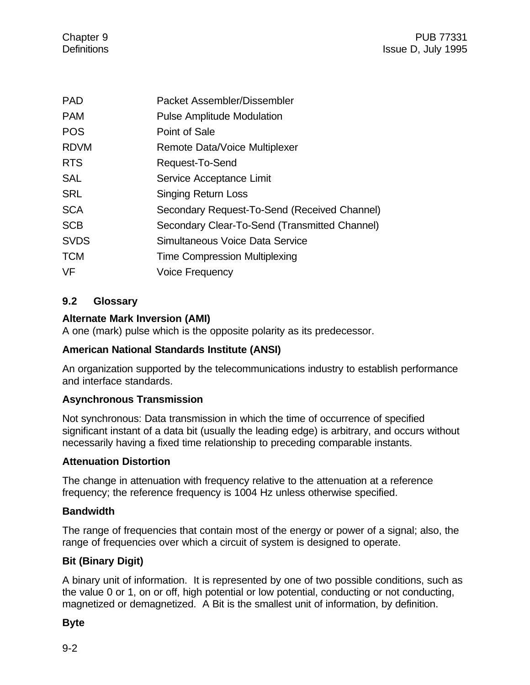| Packet Assembler/Dissembler                   |
|-----------------------------------------------|
| <b>Pulse Amplitude Modulation</b>             |
| Point of Sale                                 |
| Remote Data/Voice Multiplexer                 |
| Request-To-Send                               |
| Service Acceptance Limit                      |
| <b>Singing Return Loss</b>                    |
| Secondary Request-To-Send (Received Channel)  |
| Secondary Clear-To-Send (Transmitted Channel) |
| Simultaneous Voice Data Service               |
| <b>Time Compression Multiplexing</b>          |
| <b>Voice Frequency</b>                        |
|                                               |

## **9.2 Glossary**

## **Alternate Mark Inversion (AMI)**

A one (mark) pulse which is the opposite polarity as its predecessor.

## **American National Standards Institute (ANSI)**

An organization supported by the telecommunications industry to establish performance and interface standards.

## **Asynchronous Transmission**

Not synchronous: Data transmission in which the time of occurrence of specified significant instant of a data bit (usually the leading edge) is arbitrary, and occurs without necessarily having a fixed time relationship to preceding comparable instants.

#### **Attenuation Distortion**

The change in attenuation with frequency relative to the attenuation at a reference frequency; the reference frequency is 1004 Hz unless otherwise specified.

## **Bandwidth**

The range of frequencies that contain most of the energy or power of a signal; also, the range of frequencies over which a circuit of system is designed to operate.

## **Bit (Binary Digit)**

A binary unit of information. It is represented by one of two possible conditions, such as the value 0 or 1, on or off, high potential or low potential, conducting or not conducting, magnetized or demagnetized. A Bit is the smallest unit of information, by definition.

## **Byte**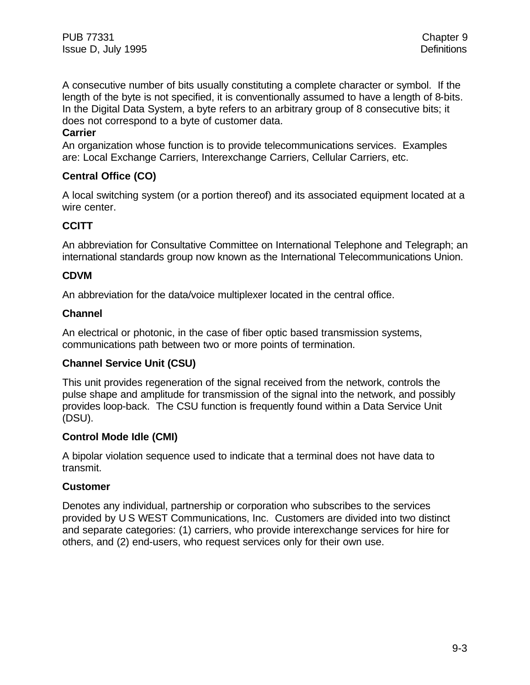PUB 77331 Chapter 9 Issue D, July 1995 **Definitions** 

A consecutive number of bits usually constituting a complete character or symbol. If the length of the byte is not specified, it is conventionally assumed to have a length of 8-bits. In the Digital Data System, a byte refers to an arbitrary group of 8 consecutive bits; it does not correspond to a byte of customer data.

#### **Carrier**

An organization whose function is to provide telecommunications services. Examples are: Local Exchange Carriers, Interexchange Carriers, Cellular Carriers, etc.

## **Central Office (CO)**

A local switching system (or a portion thereof) and its associated equipment located at a wire center.

## **CCITT**

An abbreviation for Consultative Committee on International Telephone and Telegraph; an international standards group now known as the International Telecommunications Union.

#### **CDVM**

An abbreviation for the data/voice multiplexer located in the central office.

#### **Channel**

An electrical or photonic, in the case of fiber optic based transmission systems, communications path between two or more points of termination.

#### **Channel Service Unit (CSU)**

This unit provides regeneration of the signal received from the network, controls the pulse shape and amplitude for transmission of the signal into the network, and possibly provides loop-back. The CSU function is frequently found within a Data Service Unit (DSU).

#### **Control Mode Idle (CMI)**

A bipolar violation sequence used to indicate that a terminal does not have data to transmit.

#### **Customer**

Denotes any individual, partnership or corporation who subscribes to the services provided by U S WEST Communications, Inc. Customers are divided into two distinct and separate categories: (1) carriers, who provide interexchange services for hire for others, and (2) end-users, who request services only for their own use.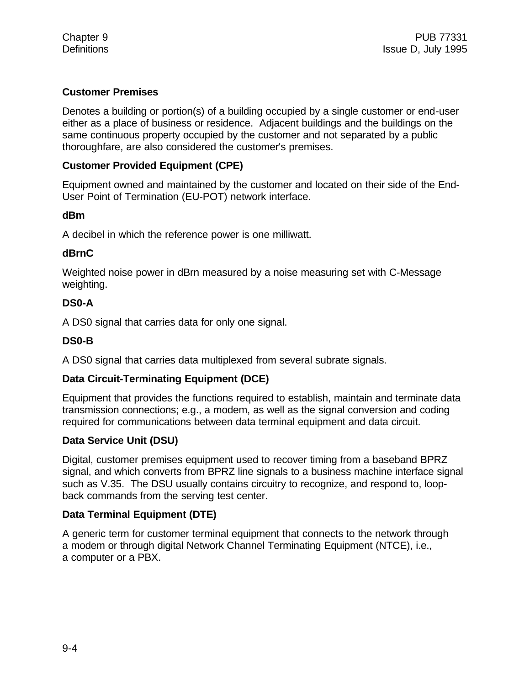## **Customer Premises**

Denotes a building or portion(s) of a building occupied by a single customer or end-user either as a place of business or residence. Adjacent buildings and the buildings on the same continuous property occupied by the customer and not separated by a public thoroughfare, are also considered the customer's premises.

#### **Customer Provided Equipment (CPE)**

Equipment owned and maintained by the customer and located on their side of the End-User Point of Termination (EU-POT) network interface.

#### **dBm**

A decibel in which the reference power is one milliwatt.

#### **dBrnC**

Weighted noise power in dBrn measured by a noise measuring set with C-Message weighting.

#### **DS0-A**

A DS0 signal that carries data for only one signal.

## **DS0-B**

A DS0 signal that carries data multiplexed from several subrate signals.

#### **Data Circuit-Terminating Equipment (DCE)**

Equipment that provides the functions required to establish, maintain and terminate data transmission connections; e.g., a modem, as well as the signal conversion and coding required for communications between data terminal equipment and data circuit.

#### **Data Service Unit (DSU)**

Digital, customer premises equipment used to recover timing from a baseband BPRZ signal, and which converts from BPRZ line signals to a business machine interface signal such as V.35. The DSU usually contains circuitry to recognize, and respond to, loopback commands from the serving test center.

#### **Data Terminal Equipment (DTE)**

A generic term for customer terminal equipment that connects to the network through a modem or through digital Network Channel Terminating Equipment (NTCE), i.e., a computer or a PBX.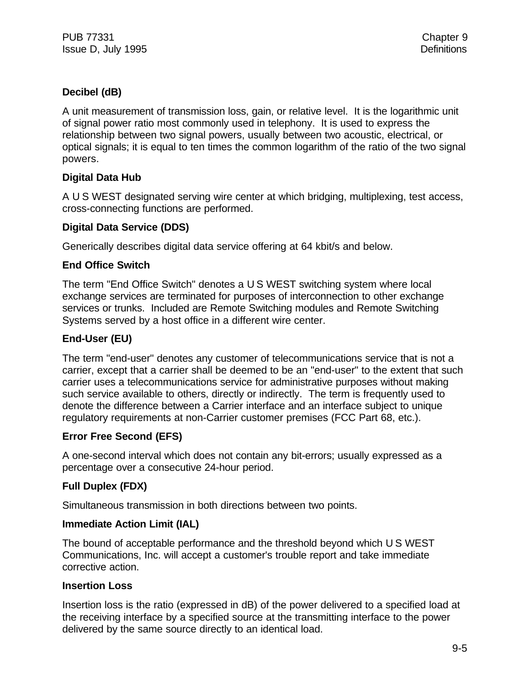## **Decibel (dB)**

A unit measurement of transmission loss, gain, or relative level. It is the logarithmic unit of signal power ratio most commonly used in telephony. It is used to express the relationship between two signal powers, usually between two acoustic, electrical, or optical signals; it is equal to ten times the common logarithm of the ratio of the two signal powers.

## **Digital Data Hub**

A U S WEST designated serving wire center at which bridging, multiplexing, test access, cross-connecting functions are performed.

## **Digital Data Service (DDS)**

Generically describes digital data service offering at 64 kbit/s and below.

## **End Office Switch**

The term "End Office Switch" denotes a U S WEST switching system where local exchange services are terminated for purposes of interconnection to other exchange services or trunks. Included are Remote Switching modules and Remote Switching Systems served by a host office in a different wire center.

## **End-User (EU)**

The term "end-user" denotes any customer of telecommunications service that is not a carrier, except that a carrier shall be deemed to be an "end-user" to the extent that such carrier uses a telecommunications service for administrative purposes without making such service available to others, directly or indirectly. The term is frequently used to denote the difference between a Carrier interface and an interface subject to unique regulatory requirements at non-Carrier customer premises (FCC Part 68, etc.).

## **Error Free Second (EFS)**

A one-second interval which does not contain any bit-errors; usually expressed as a percentage over a consecutive 24-hour period.

## **Full Duplex (FDX)**

Simultaneous transmission in both directions between two points.

#### **Immediate Action Limit (IAL)**

The bound of acceptable performance and the threshold beyond which U S WEST Communications, Inc. will accept a customer's trouble report and take immediate corrective action.

#### **Insertion Loss**

Insertion loss is the ratio (expressed in dB) of the power delivered to a specified load at the receiving interface by a specified source at the transmitting interface to the power delivered by the same source directly to an identical load.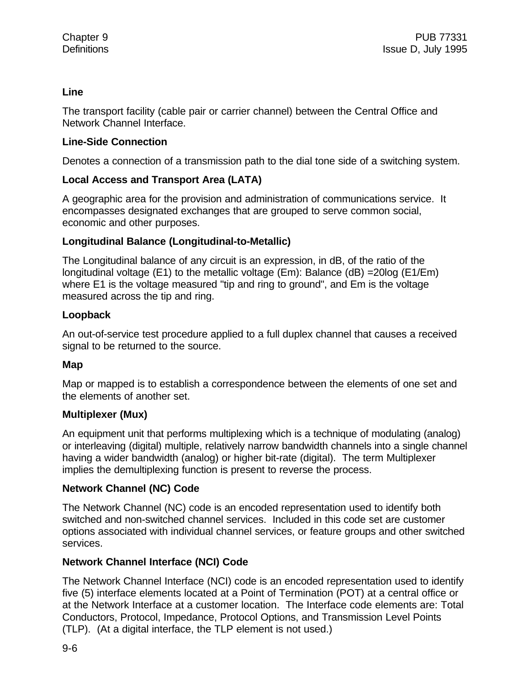#### **Line**

The transport facility (cable pair or carrier channel) between the Central Office and Network Channel Interface.

#### **Line-Side Connection**

Denotes a connection of a transmission path to the dial tone side of a switching system.

## **Local Access and Transport Area (LATA)**

A geographic area for the provision and administration of communications service. It encompasses designated exchanges that are grouped to serve common social, economic and other purposes.

## **Longitudinal Balance (Longitudinal-to-Metallic)**

The Longitudinal balance of any circuit is an expression, in dB, of the ratio of the longitudinal voltage (E1) to the metallic voltage (Em): Balance (dB) =20log (E1/Em) where E1 is the voltage measured "tip and ring to ground", and Em is the voltage measured across the tip and ring.

#### **Loopback**

An out-of-service test procedure applied to a full duplex channel that causes a received signal to be returned to the source.

#### **Map**

Map or mapped is to establish a correspondence between the elements of one set and the elements of another set.

#### **Multiplexer (Mux)**

An equipment unit that performs multiplexing which is a technique of modulating (analog) or interleaving (digital) multiple, relatively narrow bandwidth channels into a single channel having a wider bandwidth (analog) or higher bit-rate (digital). The term Multiplexer implies the demultiplexing function is present to reverse the process.

#### **Network Channel (NC) Code**

The Network Channel (NC) code is an encoded representation used to identify both switched and non-switched channel services. Included in this code set are customer options associated with individual channel services, or feature groups and other switched services.

## **Network Channel Interface (NCI) Code**

The Network Channel Interface (NCI) code is an encoded representation used to identify five (5) interface elements located at a Point of Termination (POT) at a central office or at the Network Interface at a customer location. The Interface code elements are: Total Conductors, Protocol, Impedance, Protocol Options, and Transmission Level Points (TLP). (At a digital interface, the TLP element is not used.)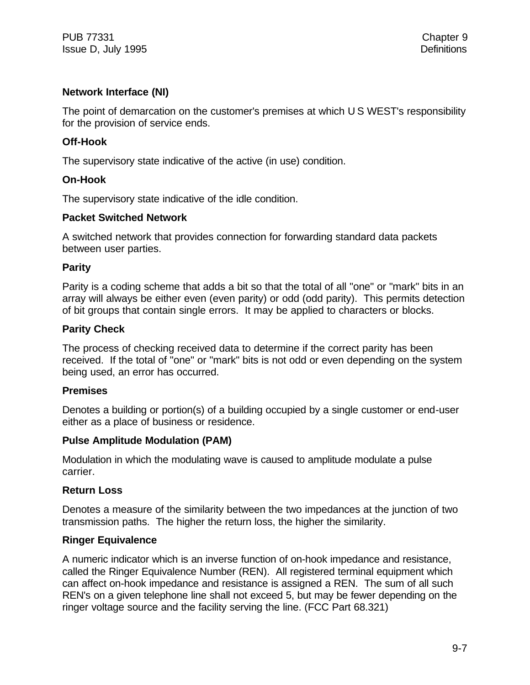## **Network Interface (NI)**

The point of demarcation on the customer's premises at which U S WEST's responsibility for the provision of service ends.

#### **Off-Hook**

The supervisory state indicative of the active (in use) condition.

#### **On-Hook**

The supervisory state indicative of the idle condition.

#### **Packet Switched Network**

A switched network that provides connection for forwarding standard data packets between user parties.

#### **Parity**

Parity is a coding scheme that adds a bit so that the total of all "one" or "mark" bits in an array will always be either even (even parity) or odd (odd parity). This permits detection of bit groups that contain single errors. It may be applied to characters or blocks.

#### **Parity Check**

The process of checking received data to determine if the correct parity has been received. If the total of "one" or "mark" bits is not odd or even depending on the system being used, an error has occurred.

#### **Premises**

Denotes a building or portion(s) of a building occupied by a single customer or end-user either as a place of business or residence.

#### **Pulse Amplitude Modulation (PAM)**

Modulation in which the modulating wave is caused to amplitude modulate a pulse carrier.

#### **Return Loss**

Denotes a measure of the similarity between the two impedances at the junction of two transmission paths. The higher the return loss, the higher the similarity.

#### **Ringer Equivalence**

A numeric indicator which is an inverse function of on-hook impedance and resistance, called the Ringer Equivalence Number (REN). All registered terminal equipment which can affect on-hook impedance and resistance is assigned a REN. The sum of all such REN's on a given telephone line shall not exceed 5, but may be fewer depending on the ringer voltage source and the facility serving the line. (FCC Part 68.321)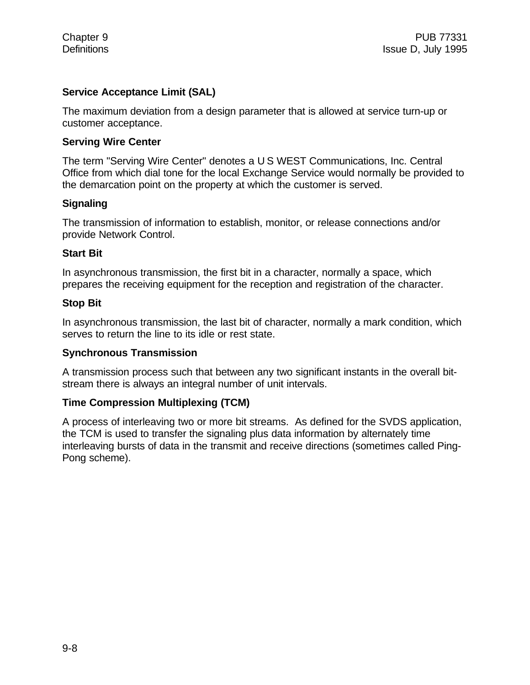#### **Service Acceptance Limit (SAL)**

The maximum deviation from a design parameter that is allowed at service turn-up or customer acceptance.

#### **Serving Wire Center**

The term "Serving Wire Center" denotes a U S WEST Communications, Inc. Central Office from which dial tone for the local Exchange Service would normally be provided to the demarcation point on the property at which the customer is served.

#### **Signaling**

The transmission of information to establish, monitor, or release connections and/or provide Network Control.

#### **Start Bit**

In asynchronous transmission, the first bit in a character, normally a space, which prepares the receiving equipment for the reception and registration of the character.

#### **Stop Bit**

In asynchronous transmission, the last bit of character, normally a mark condition, which serves to return the line to its idle or rest state.

#### **Synchronous Transmission**

A transmission process such that between any two significant instants in the overall bitstream there is always an integral number of unit intervals.

#### **Time Compression Multiplexing (TCM)**

A process of interleaving two or more bit streams. As defined for the SVDS application, the TCM is used to transfer the signaling plus data information by alternately time interleaving bursts of data in the transmit and receive directions (sometimes called Ping-Pong scheme).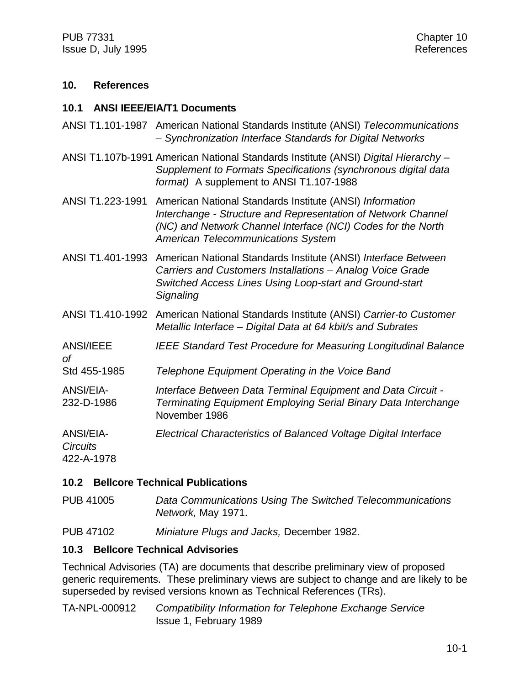PUB 77331 Chapter 10 Issue D, July 1995 **References** 

#### **10. References**

#### **10.1 ANSI IEEE/EIA/T1 Documents**

- ANSI T1.101-1987 American National Standards Institute (ANSI) *Telecommunications – Synchronization Interface Standards for Digital Networks*
- ANSI T1.107b-1991 American National Standards Institute (ANSI) *Digital Hierarchy – Supplement to Formats Specifications (synchronous digital data format)* A supplement to ANSI T1.107-1988
- ANSI T1.223-1991 American National Standards Institute (ANSI) *Information Interchange - Structure and Representation of Network Channel (NC) and Network Channel Interface (NCI) Codes for the North American Telecommunications System*
- ANSI T1.401-1993 American National Standards Institute (ANSI) *Interface Between Carriers and Customers Installations – Analog Voice Grade Switched Access Lines Using Loop-start and Ground-start Signaling*
- ANSI T1.410-1992 American National Standards Institute (ANSI) *Carrier-to Customer Metallic Interface – Digital Data at 64 kbit/s and Subrates*
- ANSI/IEEE *IEEE Standard Test Procedure for Measuring Longitudinal Balance*
- Std 455-1985 *Telephone Equipment Operating in the Voice Band*
- ANSI/EIA- *Interface Between Data Terminal Equipment and Data Circuit -* 232-D-1986 *Terminating Equipment Employing Serial Binary Data Interchange* November 1986

ANSI/EIA- *Electrical Characteristics of Balanced Voltage Digital Interface*

*Circuits* 422-A-1978

*of*

#### **10.2 Bellcore Technical Publications**

PUB 41005 *Data Communications Using The Switched Telecommunications Network,* May 1971.

PUB 47102 *Miniature Plugs and Jacks,* December 1982.

#### **10.3 Bellcore Technical Advisories**

Technical Advisories (TA) are documents that describe preliminary view of proposed generic requirements. These preliminary views are subject to change and are likely to be superseded by revised versions known as Technical References (TRs).

TA-NPL-000912 *Compatibility Information for Telephone Exchange Service* Issue 1, February 1989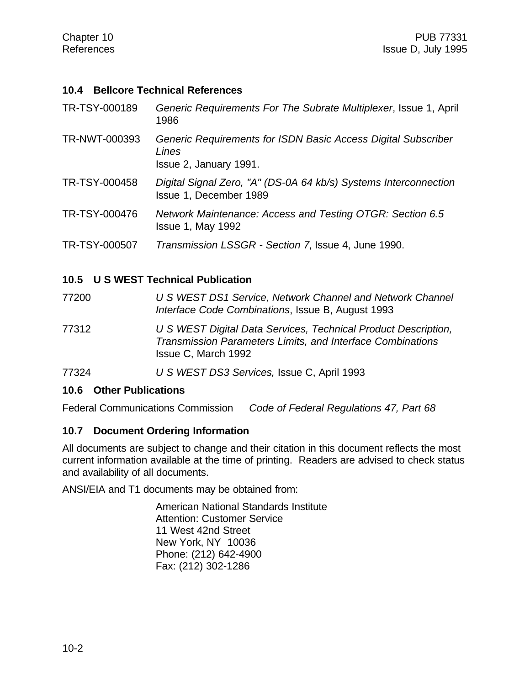#### **10.4 Bellcore Technical References**

| TR-NWT-000393<br>Lines<br>Issue 2, January 1991.<br>TR-TSY-000458<br>Issue 1, December 1989<br>TR-TSY-000476<br>Network Maintenance: Access and Testing OTGR: Section 6.5<br><b>Issue 1, May 1992</b><br>TR-TSY-000507<br>Transmission LSSGR - Section 7, Issue 4, June 1990. | TR-TSY-000189 | Generic Requirements For The Subrate Multiplexer, Issue 1, April<br>1986 |
|-------------------------------------------------------------------------------------------------------------------------------------------------------------------------------------------------------------------------------------------------------------------------------|---------------|--------------------------------------------------------------------------|
|                                                                                                                                                                                                                                                                               |               | Generic Requirements for ISDN Basic Access Digital Subscriber            |
|                                                                                                                                                                                                                                                                               |               | Digital Signal Zero, "A" (DS-0A 64 kb/s) Systems Interconnection         |
|                                                                                                                                                                                                                                                                               |               |                                                                          |
|                                                                                                                                                                                                                                                                               |               |                                                                          |

## **10.5 U S WEST Technical Publication**

77200 *U S WEST DS1 Service, Network Channel and Network Channel Interface Code Combinations*, Issue B, August 1993

77312 *U S WEST Digital Data Services, Technical Product Description, Transmission Parameters Limits, and Interface Combinations* Issue C, March 1992

77324 *U S WEST DS3 Services,* Issue C, April 1993

## **10.6 Other Publications**

Federal Communications Commission *Code of Federal Regulations 47, Part 68*

#### **10.7 Document Ordering Information**

All documents are subject to change and their citation in this document reflects the most current information available at the time of printing. Readers are advised to check status and availability of all documents.

ANSI/EIA and T1 documents may be obtained from:

American National Standards Institute Attention: Customer Service 11 West 42nd Street New York, NY 10036 Phone: (212) 642-4900 Fax: (212) 302-1286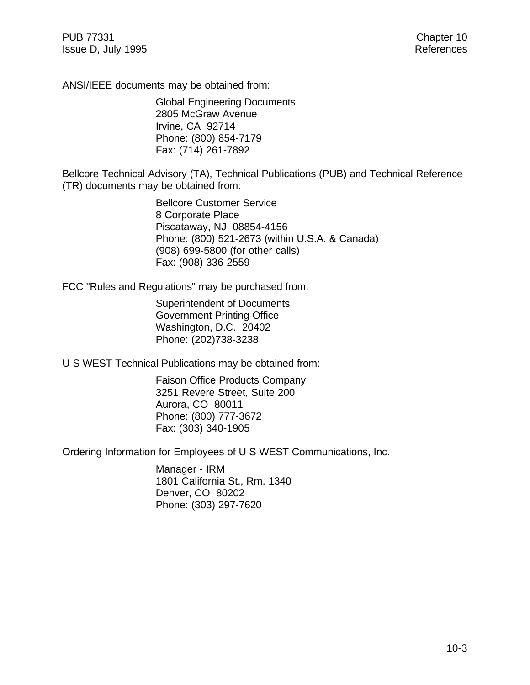ANSI/IEEE documents may be obtained from:

Global Engineering Documents 2805 McGraw Avenue Irvine, CA 92714 Phone: (800) 854-7179 Fax: (714) 261-7892

Bellcore Technical Advisory (TA), Technical Publications (PUB) and Technical Reference (TR) documents may be obtained from:

> Bellcore Customer Service 8 Corporate Place Piscataway, NJ 08854-4156 Phone: (800) 521-2673 (within U.S.A. & Canada) (908) 699-5800 (for other calls) Fax: (908) 336-2559

FCC "Rules and Regulations" may be purchased from:

Superintendent of Documents Government Printing Office Washington, D.C. 20402 Phone: (202)738-3238

U S WEST Technical Publications may be obtained from:

Faison Office Products Company 3251 Revere Street, Suite 200 Aurora, CO 80011 Phone: (800) 777-3672 Fax: (303) 340-1905

Ordering Information for Employees of U S WEST Communications, Inc.

Manager - IRM 1801 California St., Rm. 1340 Denver, CO 80202 Phone: (303) 297-7620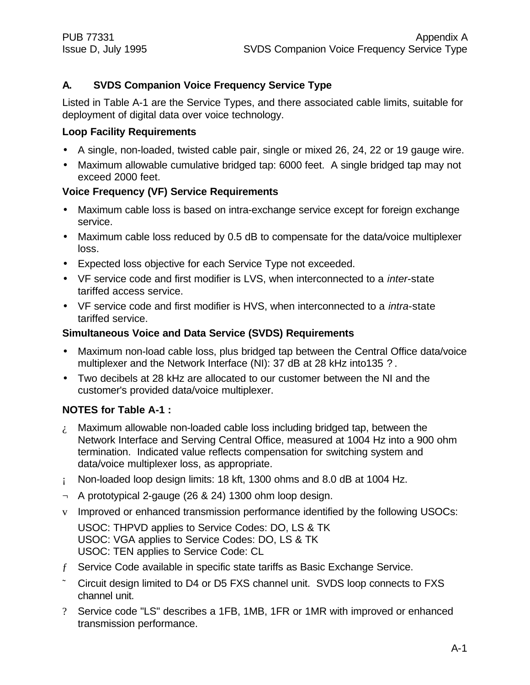## **A. SVDS Companion Voice Frequency Service Type**

Listed in Table A-1 are the Service Types, and there associated cable limits, suitable for deployment of digital data over voice technology.

## **Loop Facility Requirements**

- A single, non-loaded, twisted cable pair, single or mixed 26, 24, 22 or 19 gauge wire.
- Maximum allowable cumulative bridged tap: 6000 feet. A single bridged tap may not exceed 2000 feet.

## **Voice Frequency (VF) Service Requirements**

- Maximum cable loss is based on intra-exchange service except for foreign exchange service.
- Maximum cable loss reduced by 0.5 dB to compensate for the data/voice multiplexer loss.
- Expected loss objective for each Service Type not exceeded.
- VF service code and first modifier is LVS, when interconnected to a *inter*-state tariffed access service.
- VF service code and first modifier is HVS, when interconnected to a *intra*-state tariffed service.

## **Simultaneous Voice and Data Service (SVDS) Requirements**

- Maximum non-load cable loss, plus bridged tap between the Central Office data/voice multiplexer and the Network Interface (NI): 37 dB at 28 kHz into135 ?.
- Two decibels at 28 kHz are allocated to our customer between the NI and the customer's provided data/voice multiplexer.

## **NOTES for Table A-1 :**

- $i$ . Maximum allowable non-loaded cable loss including bridged tap, between the Network Interface and Serving Central Office, measured at 1004 Hz into a 900 ohm termination. Indicated value reflects compensation for switching system and data/voice multiplexer loss, as appropriate.
- ¡ Non-loaded loop design limits: 18 kft, 1300 ohms and 8.0 dB at 1004 Hz.
- $\neg$  A prototypical 2-gauge (26 & 24) 1300 ohm loop design.
- v Improved or enhanced transmission performance identified by the following USOCs:

USOC: THPVD applies to Service Codes: DO, LS & TK USOC: VGA applies to Service Codes: DO, LS & TK USOC: TEN applies to Service Code: CL

- ƒ Service Code available in specific state tariffs as Basic Exchange Service.
- ˜ Circuit design limited to D4 or D5 FXS channel unit. SVDS loop connects to FXS channel unit.
- ? Service code "LS" describes a 1FB, 1MB, 1FR or 1MR with improved or enhanced transmission performance.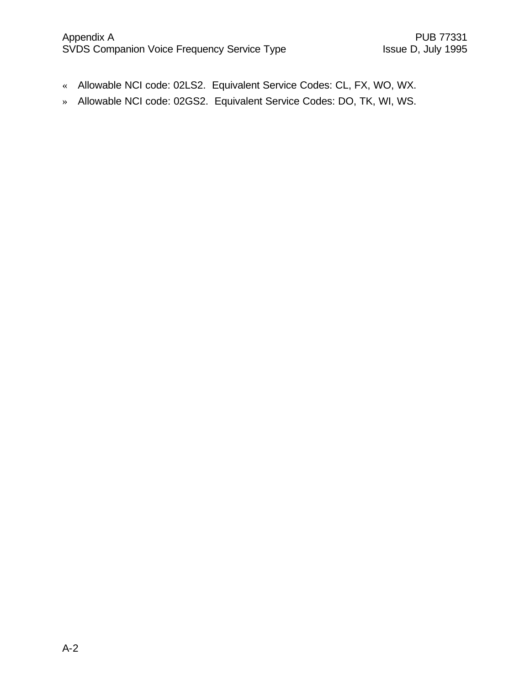- « Allowable NCI code: 02LS2. Equivalent Service Codes: CL, FX, WO, WX.
- » Allowable NCI code: 02GS2. Equivalent Service Codes: DO, TK, WI, WS.